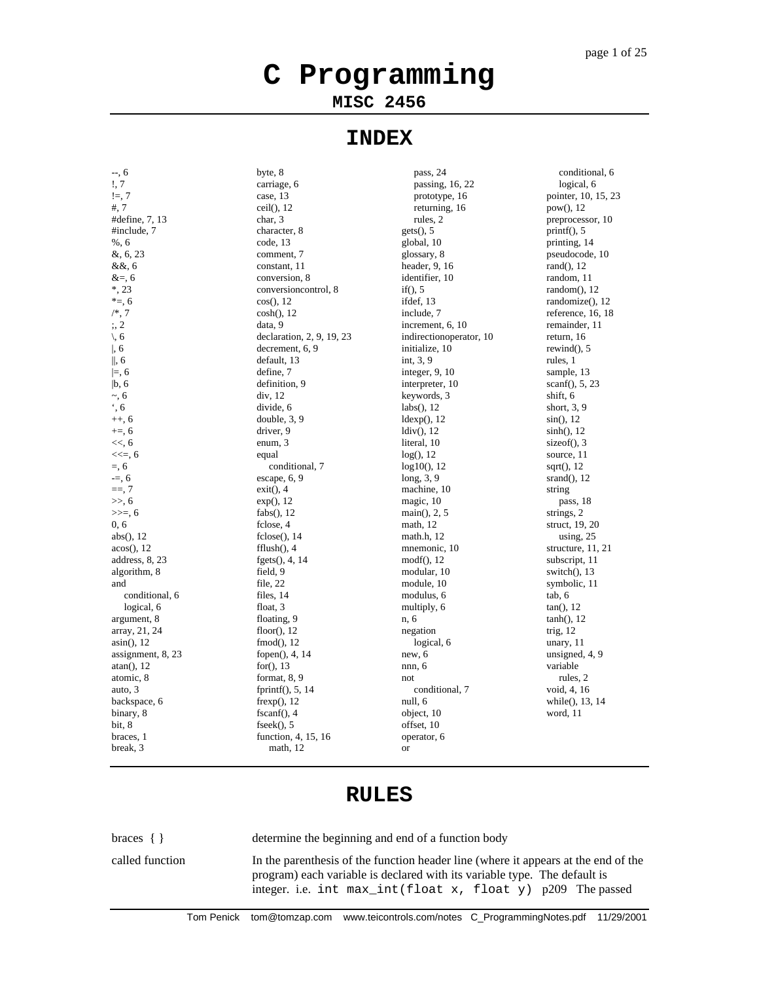# **C Programming**

**MISC 2456**

### **INDEX**

--, 6 !, 7  $! =, 7$ #, 7 #define, 7, 13 #include, 7 %, 6 &, 6, 23 &&, 6  $&=, 6$ \*, 23  $* =, 6$ /\*, 7 ;, 2  $\backslash$ , 6 |, 6 ||, 6  $|=, 6$ |b, 6 ~, 6 ', 6 ++, 6  $+=, 6$  $<<, 6$  $<<=, 6$ =, 6  $=, 6$  $==, 7$  $>>$ , 6  $\gg=, 6$ 0, 6 abs(), 12 acos(), 12 address, 8, 23 algorithm, 8 and conditional, 6 logical, 6 argument, 8 array, 21, 24 asin(), 12 assignment, 8, 23 atan(), 12 atomic, 8 auto, 3 backspace, 6 binary, 8 bit, 8 braces, 1 break, 3

byte, 8 carriage, 6 case, 13 ceil(), 12 char, 3 character, 8 code, 13 comment, 7 constant, 11 conversion, 8 conversioncontrol, 8 cos(), 12 cosh(), 12 data, 9 declaration, 2, 9, 19, 23 decrement, 6, 9 default, 13 define, 7 definition, 9 div, 12 divide, 6 double, 3, 9 driver, 9 enum, 3 equal conditional, 7 escape, 6, 9 exit(), 4 exp(), 12 fabs(), 12 fclose, 4 fclose(), 14  $fflush()$ , 4 fgets(), 4, 14 field, 9 file, 22 files, 14 float, 3 floating, 9 floor(), 12 fmod(), 12 fopen(), 4, 14 for(), 13 format, 8, 9 fprintf(), 5, 14 frexp(), 12 fscanf(), 4  $fseek()$ , 5 function, 4, 15, 16 math, 12

pass, 24 passing, 16, 22 prototype, 16 returning, 16 rules, 2 gets(), 5 global, 10 glossary, 8 header, 9, 16 identifier, 10 if $($ ), 5 ifdef, 13 include, 7 increment, 6, 10 indirectionoperator, 10 initialize, 10 int, 3, 9 integer, 9, 10 interpreter, 10 keywords, 3 labs(), 12 ldexp(), 12 ldiv(), 12 literal, 10 log(), 12 log10(), 12 long, 3, 9 machine, 10 magic, 10 main(), 2, 5 math, 12 math.h, 12 mnemonic, 10 modf(), 12 modular, 10 module, 10 modulus, 6 multiply, 6 n, 6 negation logical, 6 new, 6 nnn, 6 not conditional, 7 null, 6 object, 10 offset, 10

conditional, 6 logical, 6 pointer, 10, 15, 23 pow(), 12 preprocessor, 10 printf(), 5 printing, 14 pseudocode, 10 rand(), 12 random, 11 random(), 12 randomize(), 12 reference, 16, 18 remainder, 11 return, 16 rewind(), 5 rules, 1 sample, 13 scanf(), 5, 23 shift, 6 short, 3, 9 sin(), 12 sinh(), 12 sizeof(), 3 source, 11 sqrt(), 12 srand(), 12 string pass, 18 strings, 2 struct, 19, 20 using, 25 structure, 11, 21 subscript, 11 switch(), 13 symbolic, 11 tab, 6 tan(), 12 tanh(), 12 trig, 12 unary, 11 unsigned, 4, 9 variable rules, 2 void, 4, 16 while(), 13, 14 word, 11

### **RULES**

braces { } determine the beginning and end of a function body called function In the parenthesis of the function header line (where it appears at the end of the program) each variable is declared with its variable type. The default is integer. i.e. int max\_int(float x, float y) p209 The passed

operator, 6 or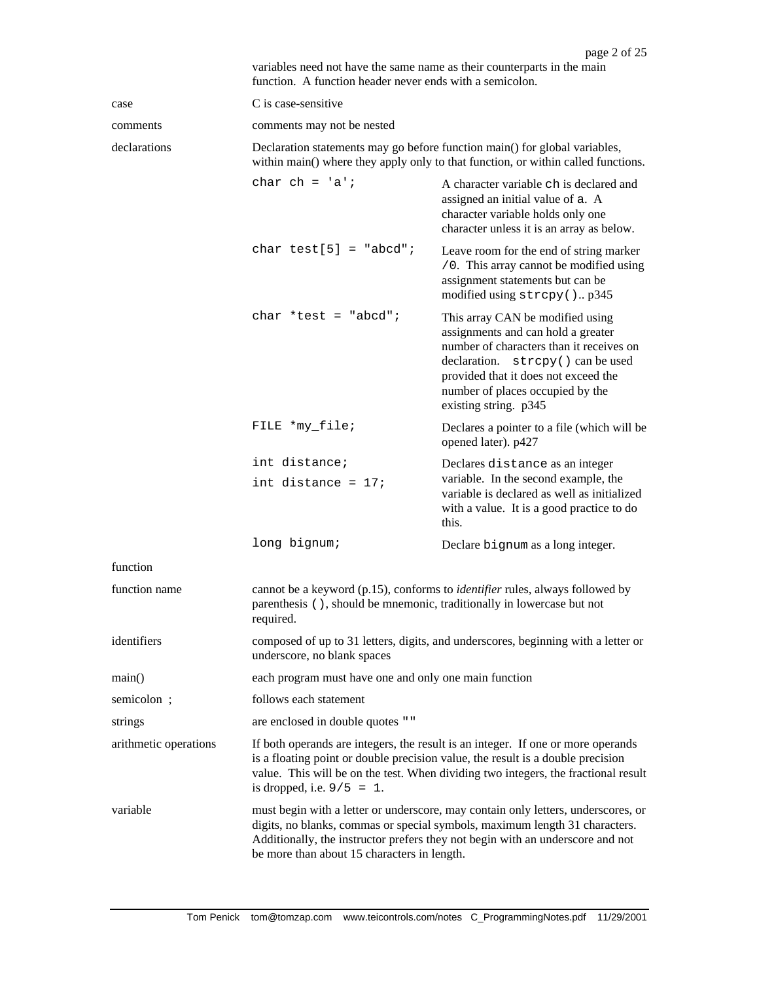|                       | variables need not have the same name as their counterparts in the main<br>function. A function header never ends with a semicolon.                                                                                                                                                       | page 2 of 25                                                                                                                                                                                                                                                 |
|-----------------------|-------------------------------------------------------------------------------------------------------------------------------------------------------------------------------------------------------------------------------------------------------------------------------------------|--------------------------------------------------------------------------------------------------------------------------------------------------------------------------------------------------------------------------------------------------------------|
| case                  | C is case-sensitive                                                                                                                                                                                                                                                                       |                                                                                                                                                                                                                                                              |
| comments              | comments may not be nested                                                                                                                                                                                                                                                                |                                                                                                                                                                                                                                                              |
| declarations          | Declaration statements may go before function main() for global variables,                                                                                                                                                                                                                | within main() where they apply only to that function, or within called functions.                                                                                                                                                                            |
|                       | char ch = $'a'$ ;                                                                                                                                                                                                                                                                         | A character variable ch is declared and<br>assigned an initial value of a. A<br>character variable holds only one<br>character unless it is an array as below.                                                                                               |
|                       | char test[5] = "abcd";                                                                                                                                                                                                                                                                    | Leave room for the end of string marker<br>/0. This array cannot be modified using<br>assignment statements but can be<br>modified using strcpy()p345                                                                                                        |
|                       | char *test = "abcd";                                                                                                                                                                                                                                                                      | This array CAN be modified using<br>assignments and can hold a greater<br>number of characters than it receives on<br>declaration. strcpy() can be used<br>provided that it does not exceed the<br>number of places occupied by the<br>existing string. p345 |
|                       | FILE *my_file;                                                                                                                                                                                                                                                                            | Declares a pointer to a file (which will be<br>opened later). p427                                                                                                                                                                                           |
|                       | int distance;<br>int distance = $17$ ;                                                                                                                                                                                                                                                    | Declares distance as an integer<br>variable. In the second example, the<br>variable is declared as well as initialized<br>with a value. It is a good practice to do<br>this.                                                                                 |
|                       | long bignum;                                                                                                                                                                                                                                                                              | Declare bignum as a long integer.                                                                                                                                                                                                                            |
| function              |                                                                                                                                                                                                                                                                                           |                                                                                                                                                                                                                                                              |
| function name         | cannot be a keyword (p.15), conforms to <i>identifier</i> rules, always followed by<br>parenthesis (), should be mnemonic, traditionally in lowercase but not<br>required.                                                                                                                |                                                                                                                                                                                                                                                              |
| identifiers           | composed of up to 31 letters, digits, and underscores, beginning with a letter or<br>underscore, no blank spaces                                                                                                                                                                          |                                                                                                                                                                                                                                                              |
| main()                | each program must have one and only one main function                                                                                                                                                                                                                                     |                                                                                                                                                                                                                                                              |
| semicolon;            | follows each statement                                                                                                                                                                                                                                                                    |                                                                                                                                                                                                                                                              |
| strings               | are enclosed in double quotes ""                                                                                                                                                                                                                                                          |                                                                                                                                                                                                                                                              |
| arithmetic operations | If both operands are integers, the result is an integer. If one or more operands<br>is a floating point or double precision value, the result is a double precision<br>value. This will be on the test. When dividing two integers, the fractional result<br>is dropped, i.e. $9/5 = 1$ . |                                                                                                                                                                                                                                                              |
| variable              | be more than about 15 characters in length.                                                                                                                                                                                                                                               | must begin with a letter or underscore, may contain only letters, underscores, or<br>digits, no blanks, commas or special symbols, maximum length 31 characters.<br>Additionally, the instructor prefers they not begin with an underscore and not           |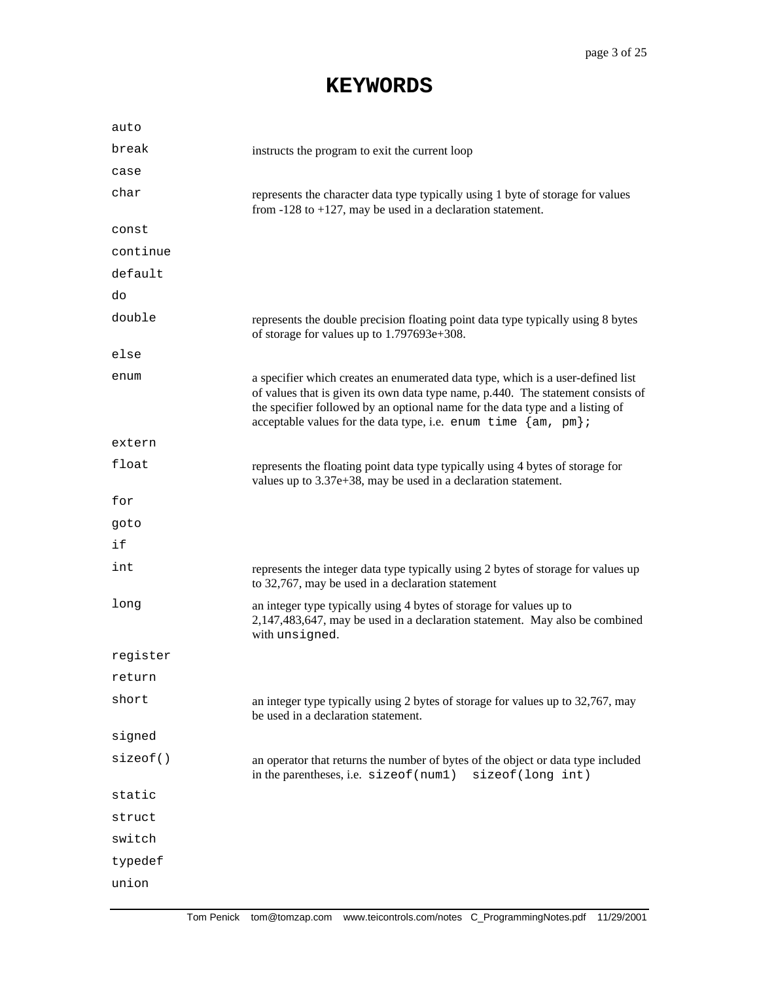## **KEYWORDS**

| auto     |                                                                                                                                                                                                                                                                                                                            |
|----------|----------------------------------------------------------------------------------------------------------------------------------------------------------------------------------------------------------------------------------------------------------------------------------------------------------------------------|
| break    | instructs the program to exit the current loop                                                                                                                                                                                                                                                                             |
| case     |                                                                                                                                                                                                                                                                                                                            |
| char     | represents the character data type typically using 1 byte of storage for values<br>from $-128$ to $+127$ , may be used in a declaration statement.                                                                                                                                                                         |
| const    |                                                                                                                                                                                                                                                                                                                            |
| continue |                                                                                                                                                                                                                                                                                                                            |
| default  |                                                                                                                                                                                                                                                                                                                            |
| do       |                                                                                                                                                                                                                                                                                                                            |
| double   | represents the double precision floating point data type typically using 8 bytes<br>of storage for values up to 1.797693e+308.                                                                                                                                                                                             |
| else     |                                                                                                                                                                                                                                                                                                                            |
| enum     | a specifier which creates an enumerated data type, which is a user-defined list<br>of values that is given its own data type name, p.440. The statement consists of<br>the specifier followed by an optional name for the data type and a listing of<br>acceptable values for the data type, i.e. enum $time \{am, pm\}$ ; |
| extern   |                                                                                                                                                                                                                                                                                                                            |
| float    | represents the floating point data type typically using 4 bytes of storage for<br>values up to 3.37e+38, may be used in a declaration statement.                                                                                                                                                                           |
| for      |                                                                                                                                                                                                                                                                                                                            |
| goto     |                                                                                                                                                                                                                                                                                                                            |
| if       |                                                                                                                                                                                                                                                                                                                            |
| int      | represents the integer data type typically using 2 bytes of storage for values up<br>to 32,767, may be used in a declaration statement                                                                                                                                                                                     |
| long     | an integer type typically using 4 bytes of storage for values up to<br>2,147,483,647, may be used in a declaration statement. May also be combined<br>with unsigned.                                                                                                                                                       |
| register |                                                                                                                                                                                                                                                                                                                            |
| return   |                                                                                                                                                                                                                                                                                                                            |
| short    | an integer type typically using 2 bytes of storage for values up to 32,767, may<br>be used in a declaration statement.                                                                                                                                                                                                     |
| signed   |                                                                                                                                                                                                                                                                                                                            |
| sizeof() | an operator that returns the number of bytes of the object or data type included<br>in the parentheses, i.e. size of (num1) size of (long int)                                                                                                                                                                             |
| static   |                                                                                                                                                                                                                                                                                                                            |
| struct   |                                                                                                                                                                                                                                                                                                                            |
| switch   |                                                                                                                                                                                                                                                                                                                            |
| typedef  |                                                                                                                                                                                                                                                                                                                            |
| union    |                                                                                                                                                                                                                                                                                                                            |
|          |                                                                                                                                                                                                                                                                                                                            |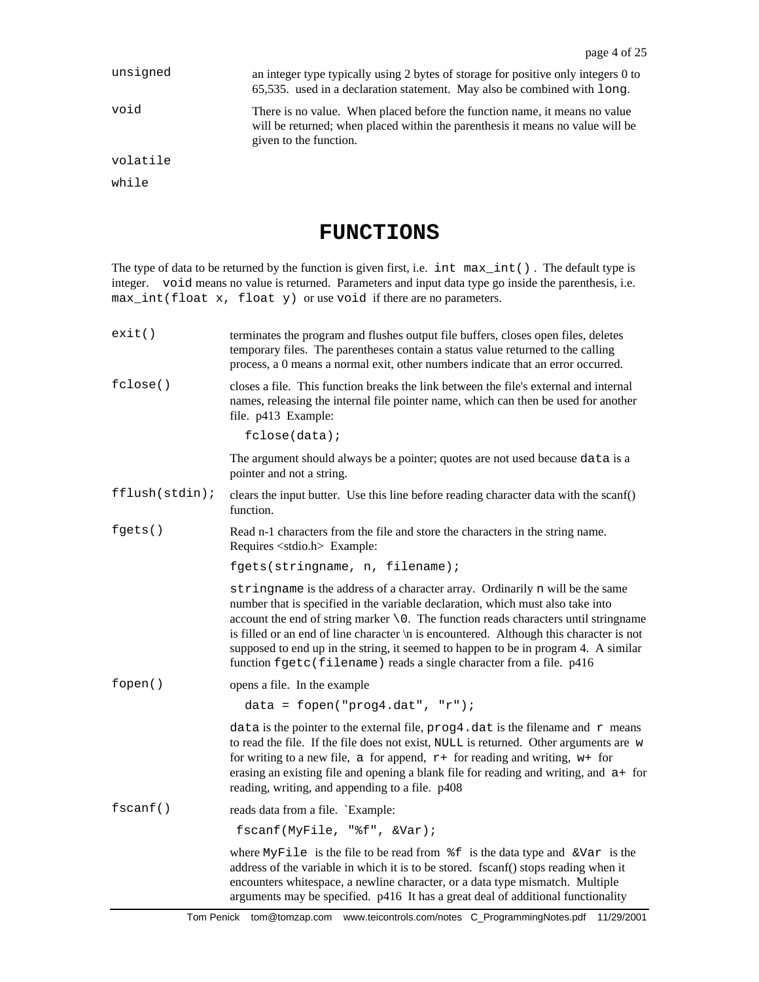unsigned an integer type typically using 2 bytes of storage for positive only integers 0 to 65,535. used in a declaration statement. May also be combined with long. void There is no value. When placed before the function name, it means no value will be returned; when placed within the parenthesis it means no value will be given to the function. volatile while

### **FUNCTIONS**

The type of data to be returned by the function is given first, i.e. int max\_int() . The default type is integer. void means no value is returned. Parameters and input data type go inside the parenthesis, i.e. max\_int(float x, float y) or use void if there are no parameters.

| exit()         | terminates the program and flushes output file buffers, closes open files, deletes<br>temporary files. The parentheses contain a status value returned to the calling<br>process, a 0 means a normal exit, other numbers indicate that an error occurred.                                                                                                                                                                                                                                                                    |
|----------------|------------------------------------------------------------------------------------------------------------------------------------------------------------------------------------------------------------------------------------------------------------------------------------------------------------------------------------------------------------------------------------------------------------------------------------------------------------------------------------------------------------------------------|
| fclose()       | closes a file. This function breaks the link between the file's external and internal<br>names, releasing the internal file pointer name, which can then be used for another<br>file. p413 Example:                                                                                                                                                                                                                                                                                                                          |
|                | $fclose(data)$ ;                                                                                                                                                                                                                                                                                                                                                                                                                                                                                                             |
|                | The argument should always be a pointer; quotes are not used because data is a<br>pointer and not a string.                                                                                                                                                                                                                                                                                                                                                                                                                  |
| fflush(stdin); | clears the input butter. Use this line before reading character data with the scanf()<br>function.                                                                                                                                                                                                                                                                                                                                                                                                                           |
| fgets()        | Read n-1 characters from the file and store the characters in the string name.<br>Requires <stdio.h> Example:</stdio.h>                                                                                                                                                                                                                                                                                                                                                                                                      |
|                | fgets(stringname, n, filename);                                                                                                                                                                                                                                                                                                                                                                                                                                                                                              |
|                | stringname is the address of a character array. Ordinarily n will be the same<br>number that is specified in the variable declaration, which must also take into<br>account the end of string marker $\setminus$ 0. The function reads characters until stringname<br>is filled or an end of line character \n is encountered. Although this character is not<br>supposed to end up in the string, it seemed to happen to be in program 4. A similar<br>function fgetc (filename) reads a single character from a file. p416 |
| fopen()        | opens a file. In the example                                                                                                                                                                                                                                                                                                                                                                                                                                                                                                 |
|                | data = fopen("prog4.dat", "r");                                                                                                                                                                                                                                                                                                                                                                                                                                                                                              |
|                | data is the pointer to the external file, $proj4$ . dat is the filename and $r$ means<br>to read the file. If the file does not exist, NULL is returned. Other arguments are w<br>for writing to a new file, a for append, $r$ for reading and writing, $w$ for<br>erasing an existing file and opening a blank file for reading and writing, and $a+$ for<br>reading, writing, and appending to a file. p408                                                                                                                |
| fscanf()       | reads data from a file. `Example:                                                                                                                                                                                                                                                                                                                                                                                                                                                                                            |
|                | fscanf(MyFile, "%f", &Var);                                                                                                                                                                                                                                                                                                                                                                                                                                                                                                  |
|                | where MyFile is the file to be read from $f$ is the data type and $\&\text{Var}$ is the<br>address of the variable in which it is to be stored. fscanf() stops reading when it<br>encounters whitespace, a newline character, or a data type mismatch. Multiple<br>arguments may be specified. p416 It has a great deal of additional functionality                                                                                                                                                                          |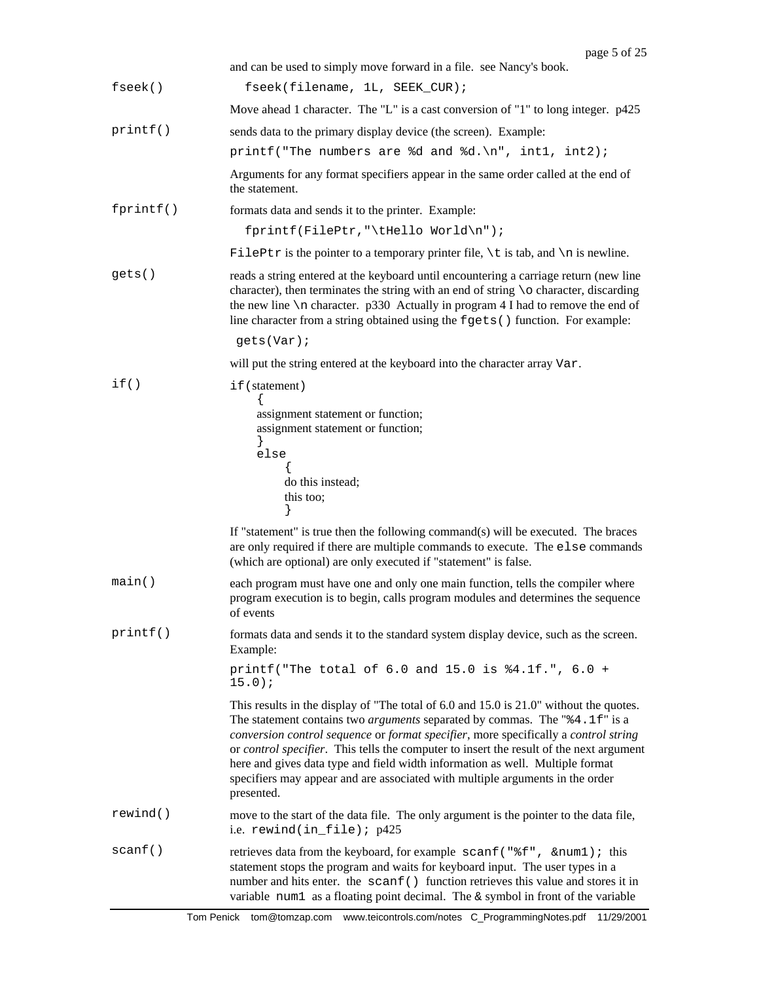|          | page 5 of 25                                                                                                                                                                                                                                                                                                                                                                                                                                                                                                                                   |
|----------|------------------------------------------------------------------------------------------------------------------------------------------------------------------------------------------------------------------------------------------------------------------------------------------------------------------------------------------------------------------------------------------------------------------------------------------------------------------------------------------------------------------------------------------------|
|          | and can be used to simply move forward in a file. see Nancy's book.                                                                                                                                                                                                                                                                                                                                                                                                                                                                            |
| fseek()  | fseek(filename, 1L, SEEK_CUR);                                                                                                                                                                                                                                                                                                                                                                                                                                                                                                                 |
|          | Move ahead 1 character. The "L" is a cast conversion of "1" to long integer. p425                                                                                                                                                                                                                                                                                                                                                                                                                                                              |
| print()  | sends data to the primary display device (the screen). Example:                                                                                                                                                                                                                                                                                                                                                                                                                                                                                |
|          | printf("The numbers are $d$ and $d.\n\nu$ , intl, intl;                                                                                                                                                                                                                                                                                                                                                                                                                                                                                        |
|          | Arguments for any format specifiers appear in the same order called at the end of<br>the statement.                                                                                                                                                                                                                                                                                                                                                                                                                                            |
| fprint() | formats data and sends it to the printer. Example:                                                                                                                                                                                                                                                                                                                                                                                                                                                                                             |
|          | fprintf(FilePtr, "\tHello World\n");                                                                                                                                                                                                                                                                                                                                                                                                                                                                                                           |
|          | FilePtr is the pointer to a temporary printer file, $\t i s t a b$ , and $\n n s$ newline.                                                                                                                                                                                                                                                                                                                                                                                                                                                     |
| gets()   | reads a string entered at the keyboard until encountering a carriage return (new line<br>character), then terminates the string with an end of string $\o$ character, discarding<br>the new line $\n\times$ character. p330 Actually in program 4 I had to remove the end of<br>line character from a string obtained using the fgets () function. For example:                                                                                                                                                                                |
|          | gets(Var);                                                                                                                                                                                                                                                                                                                                                                                                                                                                                                                                     |
|          | will put the string entered at the keyboard into the character array Var.                                                                                                                                                                                                                                                                                                                                                                                                                                                                      |
| if()     | if (statement)                                                                                                                                                                                                                                                                                                                                                                                                                                                                                                                                 |
|          | assignment statement or function;<br>assignment statement or function;<br>else                                                                                                                                                                                                                                                                                                                                                                                                                                                                 |
|          | do this instead;<br>this too;                                                                                                                                                                                                                                                                                                                                                                                                                                                                                                                  |
|          | If "statement" is true then the following command(s) will be executed. The braces<br>are only required if there are multiple commands to execute. The else commands<br>(which are optional) are only executed if "statement" is false.                                                                                                                                                                                                                                                                                                         |
| main()   | each program must have one and only one main function, tells the compiler where<br>program execution is to begin, calls program modules and determines the sequence<br>of events                                                                                                                                                                                                                                                                                                                                                               |
| print()  | formats data and sends it to the standard system display device, such as the screen.<br>Example:                                                                                                                                                                                                                                                                                                                                                                                                                                               |
|          | printf("The total of 6.0 and 15.0 is \$4.1f.", 6.0 +<br>15.0);                                                                                                                                                                                                                                                                                                                                                                                                                                                                                 |
|          | This results in the display of "The total of 6.0 and 15.0 is 21.0" without the quotes.<br>The statement contains two <i>arguments</i> separated by commas. The "\$4.1f" is a<br>conversion control sequence or format specifier, more specifically a control string<br>or control specifier. This tells the computer to insert the result of the next argument<br>here and gives data type and field width information as well. Multiple format<br>specifiers may appear and are associated with multiple arguments in the order<br>presented. |
| rewind() | move to the start of the data file. The only argument is the pointer to the data file,<br>i.e. rewind(in_file); p425                                                                                                                                                                                                                                                                                                                                                                                                                           |
| scanf()  | retrieves data from the keyboard, for example scanf ("%f", &num1); this<br>statement stops the program and waits for keyboard input. The user types in a<br>number and hits enter. the scanf() function retrieves this value and stores it in<br>variable num1 as a floating point decimal. The & symbol in front of the variable                                                                                                                                                                                                              |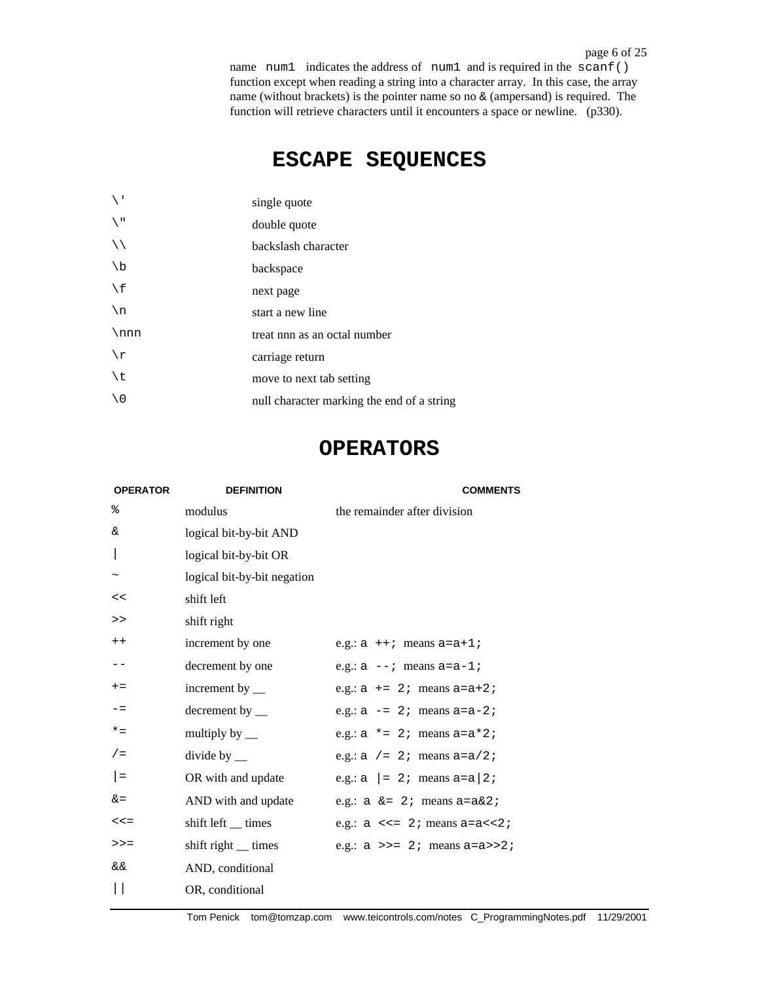#### page 6 of 25

name num1 indicates the address of num1 and is required in the scanf() function except when reading a string into a character array. In this case, the array name (without brackets) is the pointer name so no & (ampersand) is required. The function will retrieve characters until it encounters a space or newline. (p330).

## **ESCAPE SEQUENCES**

| $\setminus$           | single quote                               |
|-----------------------|--------------------------------------------|
| $\setminus$ "         | double quote                               |
| $\setminus \setminus$ | backslash character                        |
| $\setminus b$         | backspace                                  |
| $\setminus f$         | next page                                  |
| $\n\backslash$ n      | start a new line                           |
| $\n\times$            | treat nnn as an octal number               |
| $\chi$                | carriage return                            |
| \t                    | move to next tab setting                   |
| $\setminus 0$         | null character marking the end of a string |

### **OPERATORS**

| <b>OPERATOR</b>          | <b>DEFINITION</b>            | <b>COMMENTS</b>                           |
|--------------------------|------------------------------|-------------------------------------------|
| နွ                       | modulus                      | the remainder after division              |
| &                        | logical bit-by-bit AND       |                                           |
| $\overline{\phantom{a}}$ | logical bit-by-bit OR        |                                           |
| $\tilde{\phantom{a}}$    | logical bit-by-bit negation  |                                           |
| <<                       | shift left                   |                                           |
| >                        | shift right                  |                                           |
| $++$                     | increment by one             | e.g.: $a + i$ means $a=a+1$ ;             |
|                          | decrement by one             | e.g.: $a \leftarrow i$ means $a=a-1 i$    |
| $+=$                     | increment by $\equiv$        | e.g.: $a \neq 2i$ means $a=a+2i$          |
| $- =$                    | $decrement by$ <sub>__</sub> | e.g.: $a = 2i$ means $a=a-2i$             |
| $* =$                    | multiply by $\equiv$         | e.g.: $a * = 2i$ means $a=a*2i$           |
| $/ =$                    | divide by $\_\_$             | e.g.: $a$ /= 2; means $a=a/2$ ;           |
| $=$                      | OR with and update           | e.g.: $a = 2i$ means $a=a/2i$             |
| $\&=$                    | AND with and update          | e.g.: $a \&= 2i$ means $a = a \& 2i$      |
| $<<$ =                   | shift left __ times          | e.g.: $a \leq 2$ ; means $a = a \leq 2$ ; |
| $>>=$                    | shift right $\equiv$ times   | e.g.: $a \gg = 2i$ means $a = a \gg 2i$   |
| &&                       | AND, conditional             |                                           |
| Н                        | OR, conditional              |                                           |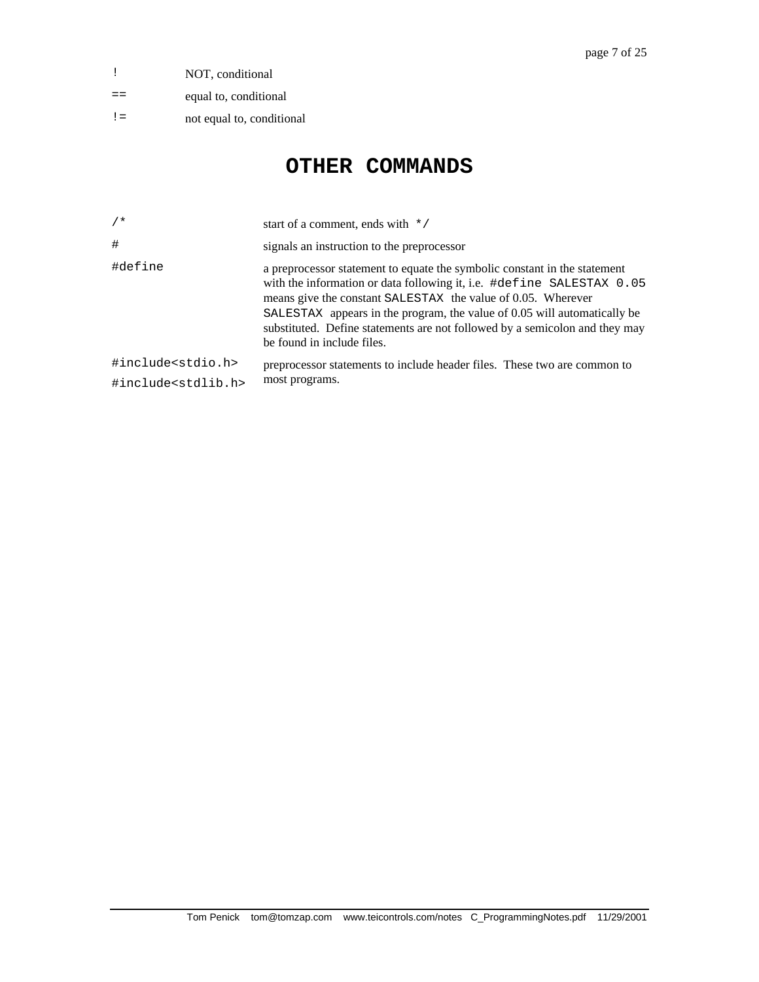- ! NOT, conditional
- == equal to, conditional
- != not equal to, conditional

## **OTHER COMMANDS**

| $/$ *                          | start of a comment, ends with $\star/$                                                                                                                                                                                                                                                                                                                                                                         |
|--------------------------------|----------------------------------------------------------------------------------------------------------------------------------------------------------------------------------------------------------------------------------------------------------------------------------------------------------------------------------------------------------------------------------------------------------------|
| #                              | signals an instruction to the preprocessor                                                                                                                                                                                                                                                                                                                                                                     |
| #define                        | a preprocessor statement to equate the symbolic constant in the statement<br>with the information or data following it, i.e. $\#define$ SALESTAX 0.05<br>means give the constant SALESTAX the value of 0.05. Wherever<br>SALESTAX appears in the program, the value of 0.05 will automatically be<br>substituted. Define statements are not followed by a semicolon and they may<br>be found in include files. |
| #include <stdio.h></stdio.h>   | preprocessor statements to include header files. These two are common to                                                                                                                                                                                                                                                                                                                                       |
| #include <stdlib.h></stdlib.h> | most programs.                                                                                                                                                                                                                                                                                                                                                                                                 |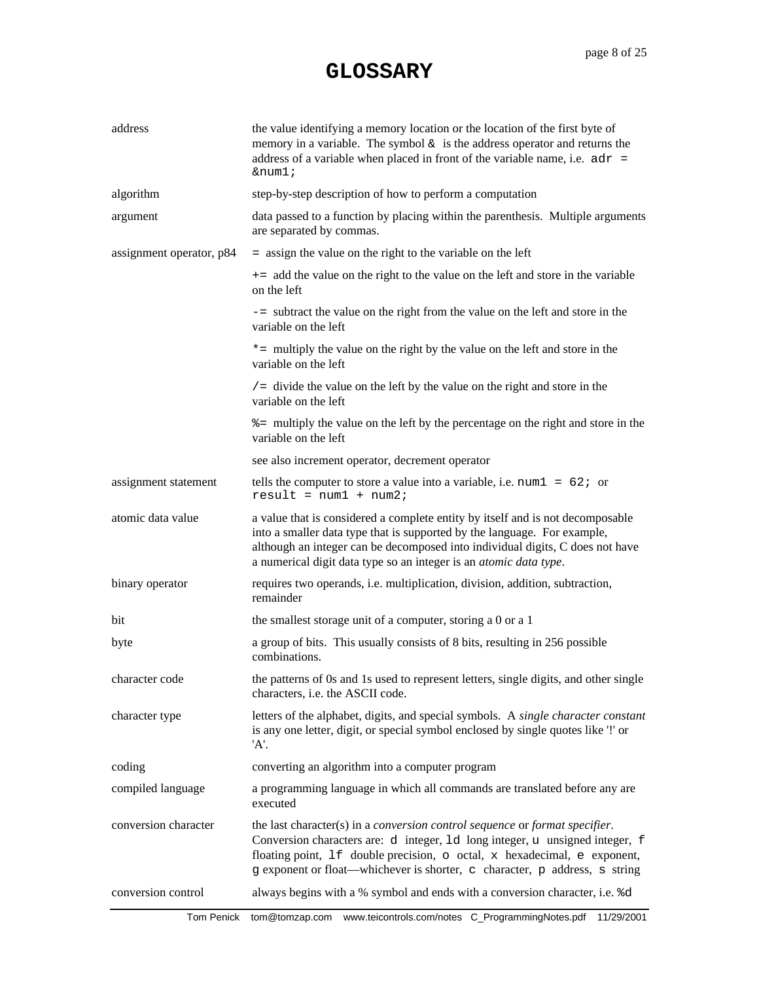## **GLOSSARY**

| address                  | the value identifying a memory location or the location of the first byte of<br>memory in a variable. The symbol $\&$ is the address operator and returns the<br>address of a variable when placed in front of the variable name, i.e. $adr =$<br>&numl                                                                  |
|--------------------------|--------------------------------------------------------------------------------------------------------------------------------------------------------------------------------------------------------------------------------------------------------------------------------------------------------------------------|
| algorithm                | step-by-step description of how to perform a computation                                                                                                                                                                                                                                                                 |
| argument                 | data passed to a function by placing within the parenthesis. Multiple arguments<br>are separated by commas.                                                                                                                                                                                                              |
| assignment operator, p84 | = assign the value on the right to the variable on the left                                                                                                                                                                                                                                                              |
|                          | += add the value on the right to the value on the left and store in the variable<br>on the left                                                                                                                                                                                                                          |
|                          | -= subtract the value on the right from the value on the left and store in the<br>variable on the left                                                                                                                                                                                                                   |
|                          | *= multiply the value on the right by the value on the left and store in the<br>variable on the left                                                                                                                                                                                                                     |
|                          | $\ell$ = divide the value on the left by the value on the right and store in the<br>variable on the left                                                                                                                                                                                                                 |
|                          | *= multiply the value on the left by the percentage on the right and store in the<br>variable on the left                                                                                                                                                                                                                |
|                          | see also increment operator, decrement operator                                                                                                                                                                                                                                                                          |
| assignment statement     | tells the computer to store a value into a variable, i.e. num $1 = 62i$ or<br>$result = num1 + num2;$                                                                                                                                                                                                                    |
| atomic data value        | a value that is considered a complete entity by itself and is not decomposable<br>into a smaller data type that is supported by the language. For example,<br>although an integer can be decomposed into individual digits, C does not have<br>a numerical digit data type so an integer is an <i>atomic data type</i> . |
| binary operator          | requires two operands, i.e. multiplication, division, addition, subtraction,<br>remainder                                                                                                                                                                                                                                |
| bit                      | the smallest storage unit of a computer, storing a 0 or a 1                                                                                                                                                                                                                                                              |
| byte                     | a group of bits. This usually consists of 8 bits, resulting in 256 possible<br>combinations.                                                                                                                                                                                                                             |
| character code           | the patterns of 0s and 1s used to represent letters, single digits, and other single<br>characters, i.e. the ASCII code.                                                                                                                                                                                                 |
| character type           | letters of the alphabet, digits, and special symbols. A single character constant<br>is any one letter, digit, or special symbol enclosed by single quotes like '!' or<br>'A'.                                                                                                                                           |
| coding                   | converting an algorithm into a computer program                                                                                                                                                                                                                                                                          |
| compiled language        | a programming language in which all commands are translated before any are<br>executed                                                                                                                                                                                                                                   |
| conversion character     | the last character(s) in a conversion control sequence or format specifier.<br>Conversion characters are: d integer, 1d long integer, u unsigned integer, f<br>floating point, 1f double precision, o octal, x hexadecimal, e exponent,<br>g exponent or float—whichever is shorter, c character, p address, s string    |
| conversion control       | always begins with a % symbol and ends with a conversion character, i.e. %d                                                                                                                                                                                                                                              |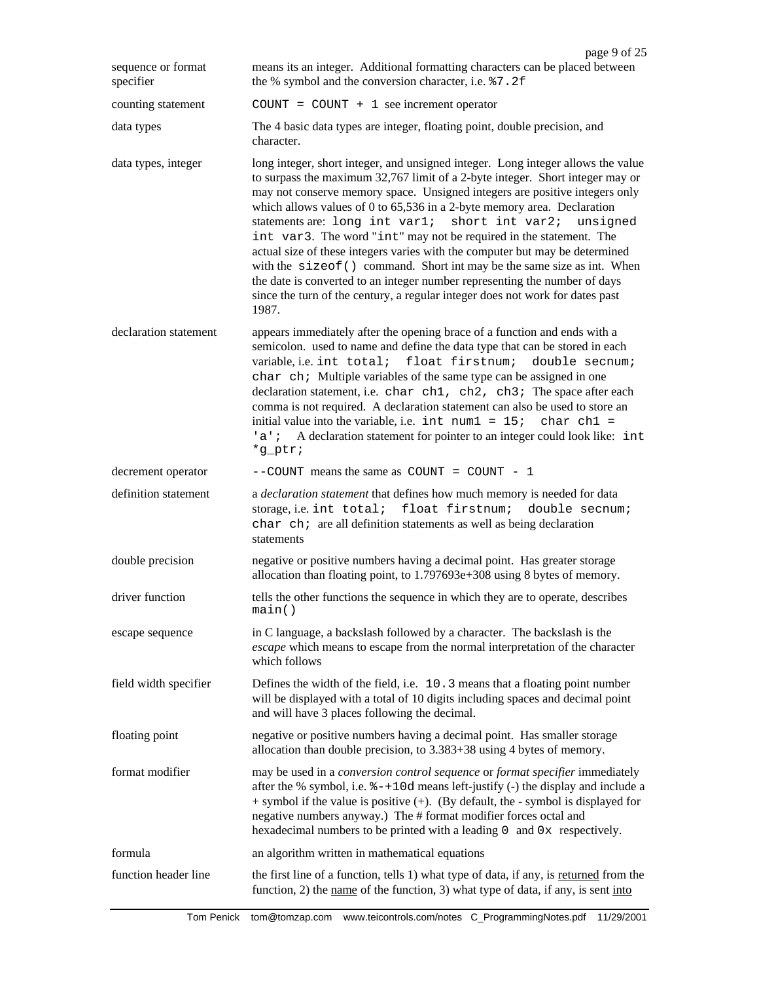| sequence or format    | page 9 of 25<br>means its an integer. Additional formatting characters can be placed between                                                                                                                                                                                                                                                                                                                                                                                                                                                                                                                                                                                                                                                                                                         |  |
|-----------------------|------------------------------------------------------------------------------------------------------------------------------------------------------------------------------------------------------------------------------------------------------------------------------------------------------------------------------------------------------------------------------------------------------------------------------------------------------------------------------------------------------------------------------------------------------------------------------------------------------------------------------------------------------------------------------------------------------------------------------------------------------------------------------------------------------|--|
| specifier             | the % symbol and the conversion character, i.e. \$7.2f                                                                                                                                                                                                                                                                                                                                                                                                                                                                                                                                                                                                                                                                                                                                               |  |
| counting statement    | COUNT = $COUNT + 1$ see increment operator                                                                                                                                                                                                                                                                                                                                                                                                                                                                                                                                                                                                                                                                                                                                                           |  |
| data types            | The 4 basic data types are integer, floating point, double precision, and<br>character.                                                                                                                                                                                                                                                                                                                                                                                                                                                                                                                                                                                                                                                                                                              |  |
| data types, integer   | long integer, short integer, and unsigned integer. Long integer allows the value<br>to surpass the maximum 32,767 limit of a 2-byte integer. Short integer may or<br>may not conserve memory space. Unsigned integers are positive integers only<br>which allows values of $0$ to $65,536$ in a 2-byte memory area. Declaration<br>statements are: long int var1; short int var2; unsigned<br>int var3. The word "int" may not be required in the statement. The<br>actual size of these integers varies with the computer but may be determined<br>with the size of () command. Short int may be the same size as int. When<br>the date is converted to an integer number representing the number of days<br>since the turn of the century, a regular integer does not work for dates past<br>1987. |  |
| declaration statement | appears immediately after the opening brace of a function and ends with a<br>semicolon. used to name and define the data type that can be stored in each<br>variable, i.e. int total; float firstnum; double secnum;<br>char ch; Multiple variables of the same type can be assigned in one<br>declaration statement, i.e. char ch1, ch2, ch3; The space after each<br>comma is not required. A declaration statement can also be used to store an<br>initial value into the variable, i.e. int num1 = $15i$ char ch1 =<br>'a': A declaration statement for pointer to an integer could look like: int<br>*g_ptr;                                                                                                                                                                                    |  |
| decrement operator    | $-$ -COUNT means the same as COUNT = COUNT - 1                                                                                                                                                                                                                                                                                                                                                                                                                                                                                                                                                                                                                                                                                                                                                       |  |
| definition statement  | a <i>declaration statement</i> that defines how much memory is needed for data<br>storage, i.e. int total;<br>float firstnum;<br>double secnum;<br>char ch; are all definition statements as well as being declaration<br>statements                                                                                                                                                                                                                                                                                                                                                                                                                                                                                                                                                                 |  |
| double precision      | negative or positive numbers having a decimal point. Has greater storage<br>allocation than floating point, to 1.797693e+308 using 8 bytes of memory.                                                                                                                                                                                                                                                                                                                                                                                                                                                                                                                                                                                                                                                |  |
| driver function       | tells the other functions the sequence in which they are to operate, describes<br>main()                                                                                                                                                                                                                                                                                                                                                                                                                                                                                                                                                                                                                                                                                                             |  |
| escape sequence       | in C language, a backslash followed by a character. The backslash is the<br>escape which means to escape from the normal interpretation of the character<br>which follows                                                                                                                                                                                                                                                                                                                                                                                                                                                                                                                                                                                                                            |  |
| field width specifier | Defines the width of the field, i.e. 10.3 means that a floating point number<br>will be displayed with a total of 10 digits including spaces and decimal point<br>and will have 3 places following the decimal.                                                                                                                                                                                                                                                                                                                                                                                                                                                                                                                                                                                      |  |
| floating point        | negative or positive numbers having a decimal point. Has smaller storage<br>allocation than double precision, to 3.383+38 using 4 bytes of memory.                                                                                                                                                                                                                                                                                                                                                                                                                                                                                                                                                                                                                                                   |  |
| format modifier       | may be used in a conversion control sequence or format specifier immediately<br>after the % symbol, i.e. $\frac{1}{2}$ -+10d means left-justify (-) the display and include a<br>$+$ symbol if the value is positive $(+)$ . (By default, the - symbol is displayed for<br>negative numbers anyway.) The # format modifier forces octal and<br>hexadecimal numbers to be printed with a leading 0 and 0x respectively.                                                                                                                                                                                                                                                                                                                                                                               |  |
| formula               | an algorithm written in mathematical equations                                                                                                                                                                                                                                                                                                                                                                                                                                                                                                                                                                                                                                                                                                                                                       |  |
| function header line  | the first line of a function, tells 1) what type of data, if any, is returned from the<br>function, 2) the <u>name</u> of the function, 3) what type of data, if any, is sent into                                                                                                                                                                                                                                                                                                                                                                                                                                                                                                                                                                                                                   |  |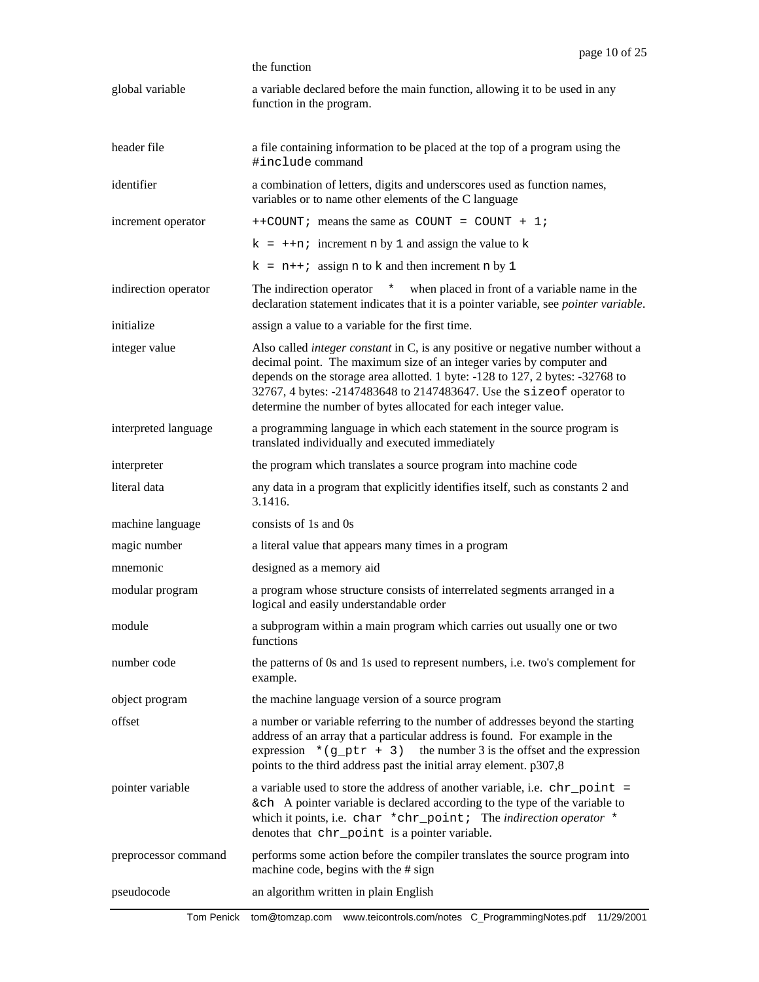|                      | the function                                                                                                                                                                                                                                                                                                                                                                                 |
|----------------------|----------------------------------------------------------------------------------------------------------------------------------------------------------------------------------------------------------------------------------------------------------------------------------------------------------------------------------------------------------------------------------------------|
| global variable      | a variable declared before the main function, allowing it to be used in any<br>function in the program.                                                                                                                                                                                                                                                                                      |
| header file          | a file containing information to be placed at the top of a program using the<br>#include command                                                                                                                                                                                                                                                                                             |
| identifier           | a combination of letters, digits and underscores used as function names,<br>variables or to name other elements of the C language                                                                                                                                                                                                                                                            |
| increment operator   | $++$ COUNT; means the same as COUNT = COUNT + 1;                                                                                                                                                                                                                                                                                                                                             |
|                      | $k = +n$ ; increment n by 1 and assign the value to k                                                                                                                                                                                                                                                                                                                                        |
|                      | $k = n++$ ; assign n to k and then increment n by 1                                                                                                                                                                                                                                                                                                                                          |
| indirection operator | The indirection operator * when placed in front of a variable name in the<br>declaration statement indicates that it is a pointer variable, see <i>pointer variable</i> .                                                                                                                                                                                                                    |
| initialize           | assign a value to a variable for the first time.                                                                                                                                                                                                                                                                                                                                             |
| integer value        | Also called <i>integer constant</i> in C, is any positive or negative number without a<br>decimal point. The maximum size of an integer varies by computer and<br>depends on the storage area allotted. 1 byte: -128 to 127, 2 bytes: -32768 to<br>32767, 4 bytes: -2147483648 to 2147483647. Use the size of operator to<br>determine the number of bytes allocated for each integer value. |
| interpreted language | a programming language in which each statement in the source program is<br>translated individually and executed immediately                                                                                                                                                                                                                                                                  |
| interpreter          | the program which translates a source program into machine code                                                                                                                                                                                                                                                                                                                              |
| literal data         | any data in a program that explicitly identifies itself, such as constants 2 and<br>3.1416.                                                                                                                                                                                                                                                                                                  |
| machine language     | consists of 1s and 0s                                                                                                                                                                                                                                                                                                                                                                        |
| magic number         | a literal value that appears many times in a program                                                                                                                                                                                                                                                                                                                                         |
| mnemonic             | designed as a memory aid                                                                                                                                                                                                                                                                                                                                                                     |
| modular program      | a program whose structure consists of interrelated segments arranged in a<br>logical and easily understandable order                                                                                                                                                                                                                                                                         |
| module               | a subprogram within a main program which carries out usually one or two<br>functions                                                                                                                                                                                                                                                                                                         |
| number code          | the patterns of 0s and 1s used to represent numbers, i.e. two's complement for<br>example.                                                                                                                                                                                                                                                                                                   |
| object program       | the machine language version of a source program                                                                                                                                                                                                                                                                                                                                             |
| offset               | a number or variable referring to the number of addresses beyond the starting<br>address of an array that a particular address is found. For example in the<br>expression $*(g_{ptr} + 3)$<br>the number 3 is the offset and the expression<br>points to the third address past the initial array element. p307,8                                                                            |
| pointer variable     | a variable used to store the address of another variable, i.e. chr_point =<br>&ch A pointer variable is declared according to the type of the variable to<br>which it points, i.e. char *chr_point; The indirection operator *<br>denotes that chr_point is a pointer variable.                                                                                                              |
| preprocessor command | performs some action before the compiler translates the source program into<br>machine code, begins with the # sign                                                                                                                                                                                                                                                                          |
| pseudocode           | an algorithm written in plain English                                                                                                                                                                                                                                                                                                                                                        |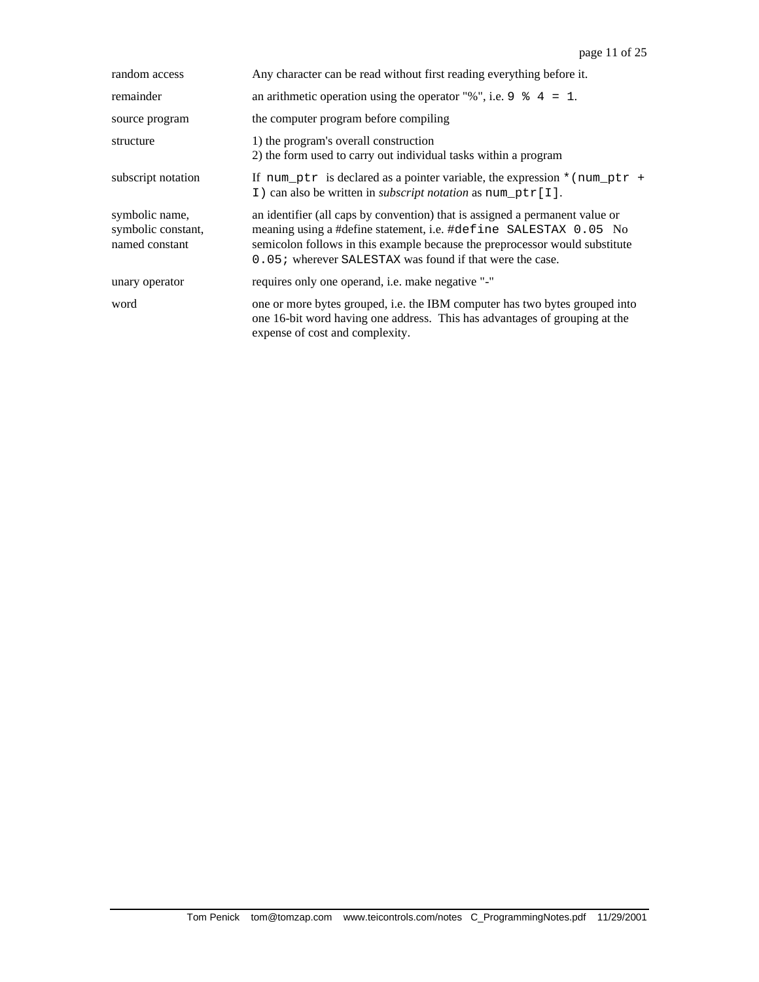| random access                                          | Any character can be read without first reading everything before it.                                                                                                                                                                                                                       |  |
|--------------------------------------------------------|---------------------------------------------------------------------------------------------------------------------------------------------------------------------------------------------------------------------------------------------------------------------------------------------|--|
| remainder                                              | an arithmetic operation using the operator "%", i.e. $9 \div 4 = 1$ .                                                                                                                                                                                                                       |  |
| source program                                         | the computer program before compiling                                                                                                                                                                                                                                                       |  |
| structure                                              | 1) the program's overall construction<br>2) the form used to carry out individual tasks within a program                                                                                                                                                                                    |  |
| subscript notation                                     | If num ptr is declared as a pointer variable, the expression $*(num_ptr +$<br>$\bot$ ) can also be written in <i>subscript notation</i> as num_ptr[ $\bot$ ].                                                                                                                               |  |
| symbolic name,<br>symbolic constant,<br>named constant | an identifier (all caps by convention) that is assigned a permanent value or<br>meaning using a #define statement, i.e. #define SALESTAX 0.05 No<br>semicolon follows in this example because the preprocessor would substitute<br>0.05; wherever SALESTAX was found if that were the case. |  |
| unary operator                                         | requires only one operand, i.e. make negative "-"                                                                                                                                                                                                                                           |  |
| word                                                   | one or more bytes grouped, i.e. the IBM computer has two bytes grouped into<br>one 16-bit word having one address. This has advantages of grouping at the<br>expense of cost and complexity.                                                                                                |  |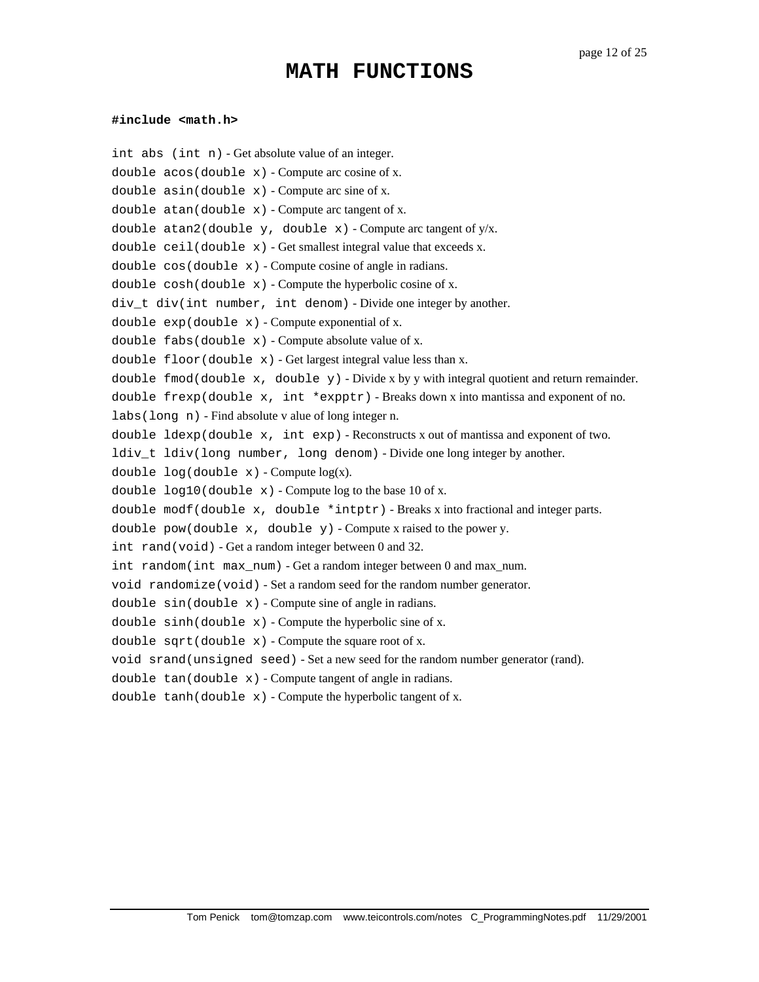#### **#include <math.h>**

int abs (int n) - Get absolute value of an integer. double  $a\cos$  (double  $x$ ) - Compute arc cosine of x. double asin(double x) - Compute arc sine of x. double atan(double x) - Compute arc tangent of x. double atan2(double  $y$ , double  $x$ ) - Compute arc tangent of  $y/x$ . double ceil(double  $x$ ) - Get smallest integral value that exceeds x. double  $cos(double x)$  - Compute cosine of angle in radians. double  $\cosh(\text{double } x)$  - Compute the hyperbolic cosine of x. div\_t div(int number, int denom) - Divide one integer by another. double  $exp(double x)$  - Compute exponential of x. double  $fabs(double x)$  - Compute absolute value of x. double floor(double x) - Get largest integral value less than x. double  $fmod(double x, double y)$  - Divide x by y with integral quotient and return remainder. double frexp(double  $x$ , int  $*$ expptr) - Breaks down x into mantissa and exponent of no. labs(long n) - Find absolute v alue of long integer n. double ldexp(double x, int exp) - Reconstructs x out of mantissa and exponent of two. ldiv\_t ldiv(long number, long denom) - Divide one long integer by another. double  $log(double x)$  - Compute  $log(x)$ . double  $log10$  (double  $x$ ) - Compute  $log$  to the base 10 of x. double modf(double  $x$ , double \*intptr) - Breaks x into fractional and integer parts. double pow(double  $x$ , double  $y$ ) - Compute x raised to the power y. int rand(void) - Get a random integer between 0 and 32. int random(int max\_num) - Get a random integer between 0 and max\_num. void randomize(void) - Set a random seed for the random number generator. double sin(double x) - Compute sine of angle in radians. double  $sinh(double x)$  - Compute the hyperbolic sine of x. double  $sqrt(double x)$  - Compute the square root of x. void srand(unsigned seed) - Set a new seed for the random number generator (rand). double tan(double x) - Compute tangent of angle in radians. double tanh(double  $x$ ) - Compute the hyperbolic tangent of x.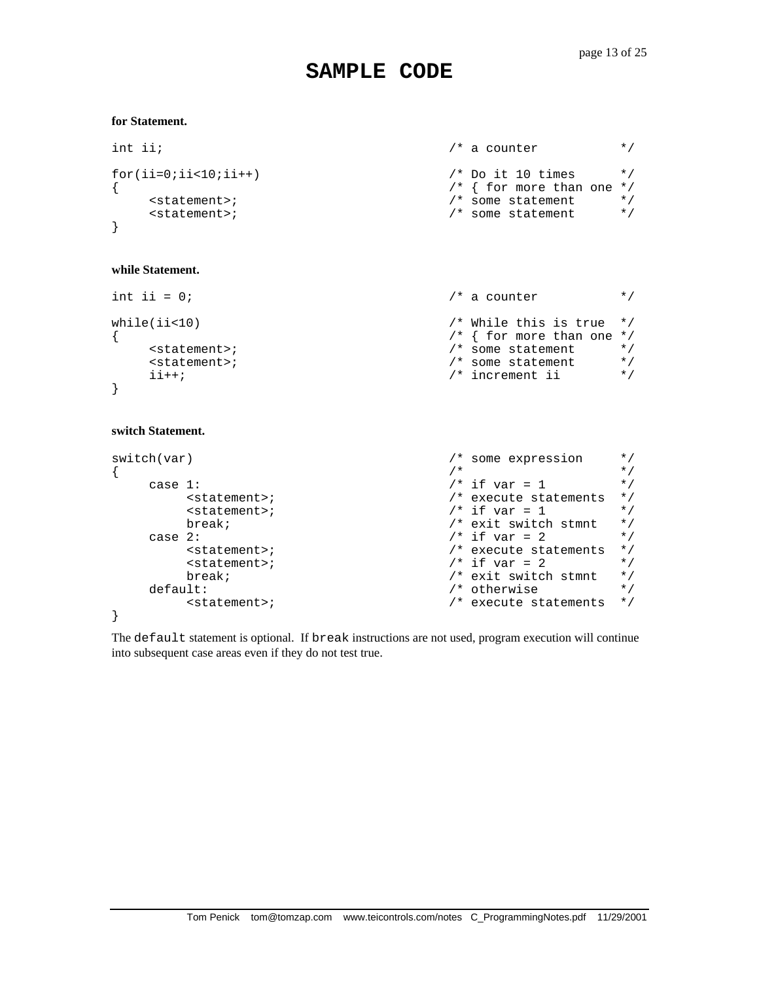## **SAMPLE CODE**

#### **for Statement.**

| int ii;                              | $\prime^*$ a counter                                            |
|--------------------------------------|-----------------------------------------------------------------|
| $for(i = 0; i \in \{10; i \in ++\})$ | $/*$ Do it 10 times<br>$\star$ /<br>/* { for more than one $*/$ |
| $<$ statement>;                      | $\star$ /<br>/* some statement                                  |
| $s$ tatement>;                       | $\star$ /<br>/* some statement                                  |

#### **while Statement.**

| int ii = $0i$            | $\star$ /<br>$\prime^*$ a counter |
|--------------------------|-----------------------------------|
| while(ii<10)             | /* While this is true $*/$        |
|                          | /* { for more than one */         |
| <statement>;</statement> | $\star$ /<br>/* some statement    |
| $s$ tatement>;           | $\star$ /<br>/* some statement    |
| $i i++i$                 | $\star$ /<br>/* increment ii      |
|                          |                                   |

#### **switch Statement.**

| switch(var)     | $\star$ /<br>/* some expression    |
|-----------------|------------------------------------|
|                 | $\star$ /<br>/ *                   |
| case $1:$       | $\star$ /<br>/* if $var = 1$       |
| $<$ statement>; | $\star$ /<br>/* execute statements |
| $<$ statement>; | $\star$ /<br>$/*$ if var = 1       |
| break;          | $\star$ /<br>/* exit switch stmnt  |
| case $2:$       | $\star$ /<br>$/*$ if var = 2       |
| $<$ statement>; | $\star$ /<br>/* execute statements |
| $<$ statement>; | $\star$ /<br>$/*$ if var = 2       |
| break;          | $\star$ /<br>/* exit switch stmnt  |
| default:        | $\star$ /<br>/* otherwise          |
| $<$ statement>; | $\star$ /<br>/* execute statements |
|                 |                                    |

The default statement is optional. If break instructions are not used, program execution will continue into subsequent case areas even if they do not test true.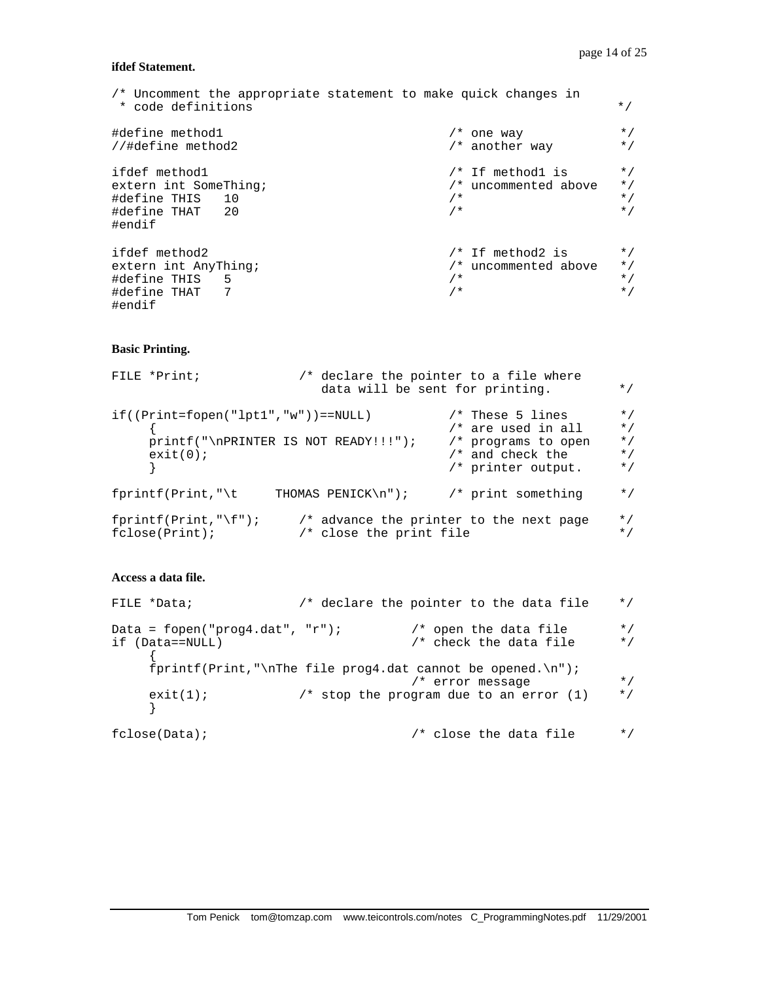#### **ifdef Statement.**

| * code definitions                                                                  | /* Uncomment the appropriate statement to make quick changes in |                |                                          | $\star$ /                                        |
|-------------------------------------------------------------------------------------|-----------------------------------------------------------------|----------------|------------------------------------------|--------------------------------------------------|
| #define method1<br>//#define method2                                                |                                                                 |                | $/*$ one way<br>$/*$ another way         | $*$ /<br>$\star$ /                               |
| ifdef methodl<br>extern int SomeThing;<br>#define THIS<br>#define THAT 20<br>#endif | 10                                                              | $/$ *<br>$/$ * | /* If methodl is<br>/* uncommented above | $\star$ /<br>$\star$ /<br>$\star$ /<br>$\star$ / |
| ifdef method2<br>extern int AnyThing;<br>#define THIS<br>#define THAT<br>#endif     | $5^{\circ}$                                                     | $/$ *<br>$/$ * | /* If method2 is<br>/* uncommented above | $*$ /<br>$\star$ /<br>$\star$ /<br>$\star$ /     |

#### **Basic Printing.**

| FILE *Print;                                         |                                      | /* declare the pointer to a file where<br>data will be sent for printing.                                                   | $\star$ /                                                 |
|------------------------------------------------------|--------------------------------------|-----------------------------------------------------------------------------------------------------------------------------|-----------------------------------------------------------|
| $if((Print=fopen("lpt1", "w")) == NULL)$<br>exit(0); | printf("\nPRINTER IS NOT READY!!!"); | $/*$ These 5 lines<br>$/*$ are used in all<br>$\prime^*$ programs to open<br>$\prime$ * and check the<br>/* printer output. | $\star$ /<br>$\star$ /<br>$*$ /<br>$\star$ /<br>$\star$ / |
| fprint(Frint, "t)                                    | THOMAS PENICK\n");                   | /* print something                                                                                                          | $\star$ /                                                 |
| fprintf(Print, $"\f$ );<br>fclose(Print);            | /* close the print file              | /* advance the printer to the next page                                                                                     | $\star$ /<br>$\star$ /                                    |

#### **Access a data file.**

```
FILE *Data; \sqrt{*} declare the pointer to the data file */
Data = fopen("prog4.dat", "r"); \begin{array}{ccc} \n\end{array} /* open the data file */<br>
if (Data==NULL) \begin{array}{ccc} \n\end{array} /* check the data file */
                                                 \prime* check the data file
      {
      fprintf(Print,"\nThe file prog4.dat cannot be opened.\n");
                                                 /* error message \frac{\ast}{2}<br>ogram due to an error (1) \frac{\ast}{2}exit(1); /* stop the program due to an error (1)}
fclose(Data); /* close the data file */
```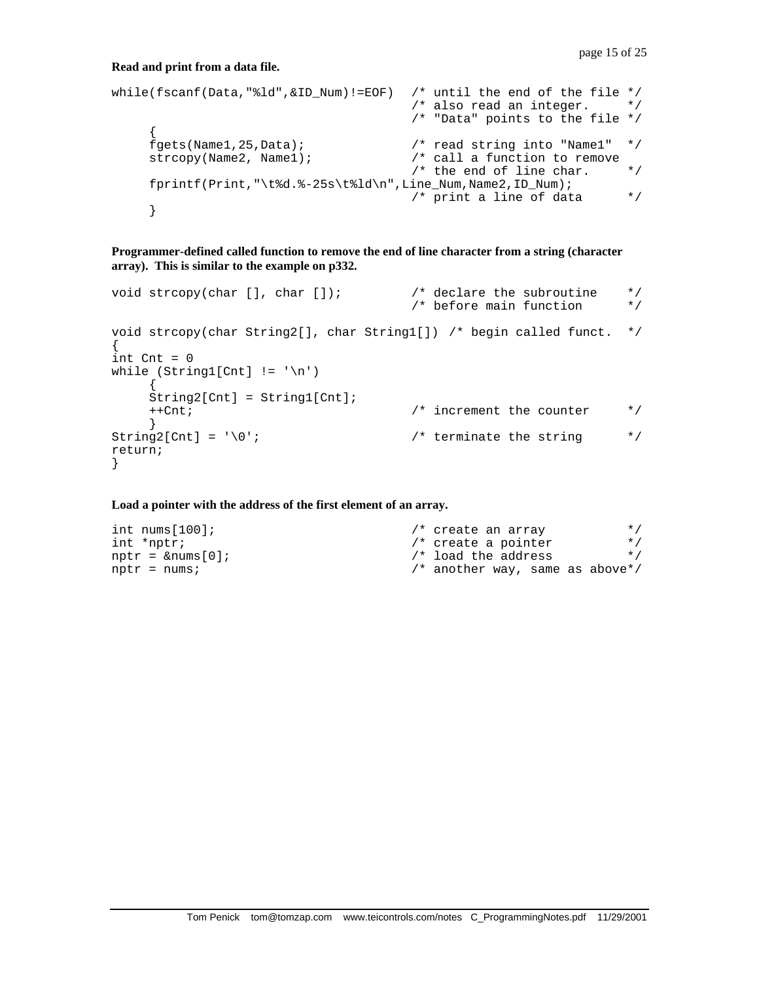#### **Read and print from a data file.**

```
while(fscanf(Data,"%ld", &ID_Num)!=EOF) /* until the end of the file */
                                                          /* also read an integer. */
                                                          /* "Data" points to the file */
       fgets (Name1, 25, Data);
       fgets(Name1,25,Data); \begin{array}{ccc} \n 1 \rightarrow 25 \\ \n 2 \rightarrow 3 \end{array} /* read string into "Name1" */<br>strcopy(Name2, Name1); \begin{array}{ccc} \n 2 \rightarrow 25 \\ \n 3 \rightarrow 3 \end{array} /* call a function to remove
                                                          y^* call a function to remove
                                                          /* the end of line char. */fprintf(Print,"\t%d.%-25s\t%ld\n",Line_Num,Name2,ID_Num);
                                                          /* print a line of data *}
```
**Programmer-defined called function to remove the end of line character from a string (character array). This is similar to the example on p332.**

```
void strcopy(char [], char []); \gamma declare the subroutine */<br>\gamma before main function */
                                                 /* before main function
void strcopy(char String2[], char String1[]) /* begin called funct. */
{
int Cnt = 0while (String1[Cht] != 'n'){
      String2[Cnt] = String1[Cnt];<br>++Cnt;
                                                /* increment the counter *\left.\begin{array}{c}\n\text{String2[Cnt]} = '\0';\n\end{array}\right./* terminate the string */
return;
}
```
**Load a pointer with the address of the first element of an array.**

| $int$ nums $[100]$ ; | $\star$ /<br>/* create an array             |
|----------------------|---------------------------------------------|
| int *nptr;           | $\star$ /<br>$\prime\star$ create a pointer |
| $nptr = \&nums[0];$  | $\star$ /<br>$\prime\star$ load the address |
| $nptr = nums$        | $\prime$ * another way, same as above*/     |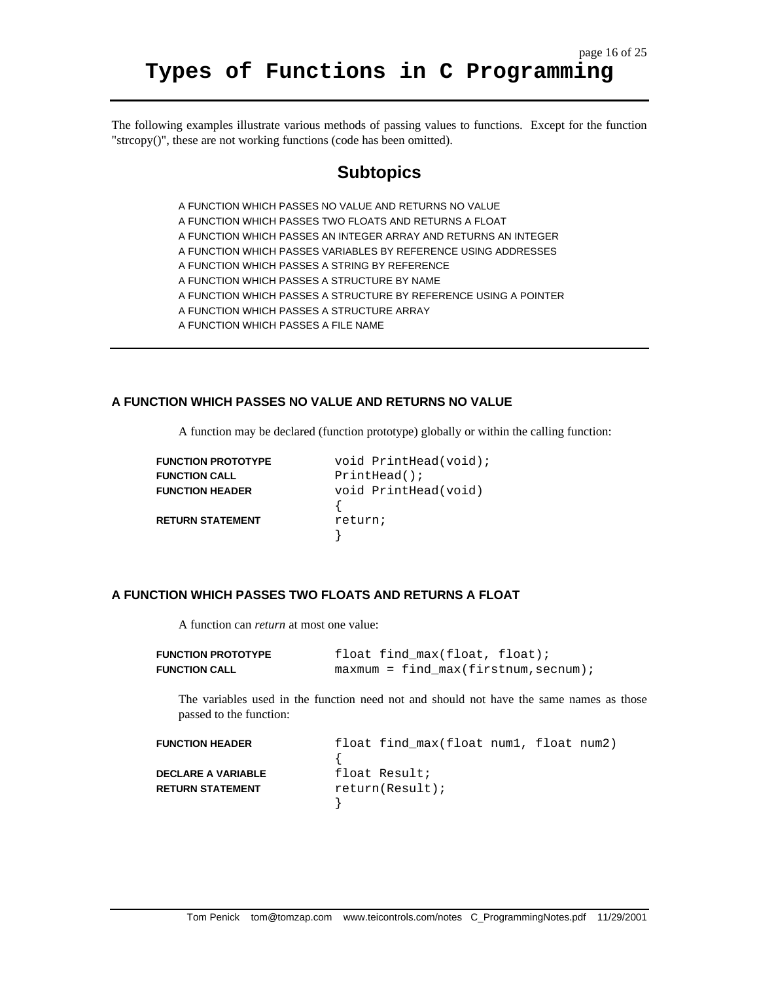The following examples illustrate various methods of passing values to functions. Except for the function "strcopy()", these are not working functions (code has been omitted).

### **Subtopics**

A FUNCTION WHICH PASSES NO VALUE AND RETURNS NO VALUE A FUNCTION WHICH PASSES TWO FLOATS AND RETURNS A FLOAT A FUNCTION WHICH PASSES AN INTEGER ARRAY AND RETURNS AN INTEGER A FUNCTION WHICH PASSES VARIABLES BY REFERENCE USING ADDRESSES A FUNCTION WHICH PASSES A STRING BY REFERENCE A FUNCTION WHICH PASSES A STRUCTURE BY NAME A FUNCTION WHICH PASSES A STRUCTURE BY REFERENCE USING A POINTER A FUNCTION WHICH PASSES A STRUCTURE ARRAY A FUNCTION WHICH PASSES A FILE NAME

#### **A FUNCTION WHICH PASSES NO VALUE AND RETURNS NO VALUE**

A function may be declared (function prototype) globally or within the calling function:

**FUNCTION PROTOTYPE** void PrintHead(void); **FUNCTION CALL** PrintHead(); **FUNCTION HEADER** void PrintHead(void) { **RETURN STATEMENT** return; }

#### **A FUNCTION WHICH PASSES TWO FLOATS AND RETURNS A FLOAT**

A function can *return* at most one value:

| <b>FUNCTION PROTOTYPE</b> | float find max(float, float);          |  |
|---------------------------|----------------------------------------|--|
| <b>FUNCTION CALL</b>      | $maxmum = find max(firstnum, secnum);$ |  |

The variables used in the function need not and should not have the same names as those passed to the function:

| <b>FUNCTION HEADER</b>    | float find_max(float num1, float num2) |
|---------------------------|----------------------------------------|
|                           |                                        |
| <b>DECLARE A VARIABLE</b> | float Result;                          |
| <b>RETURN STATEMENT</b>   | return(Result);                        |
|                           |                                        |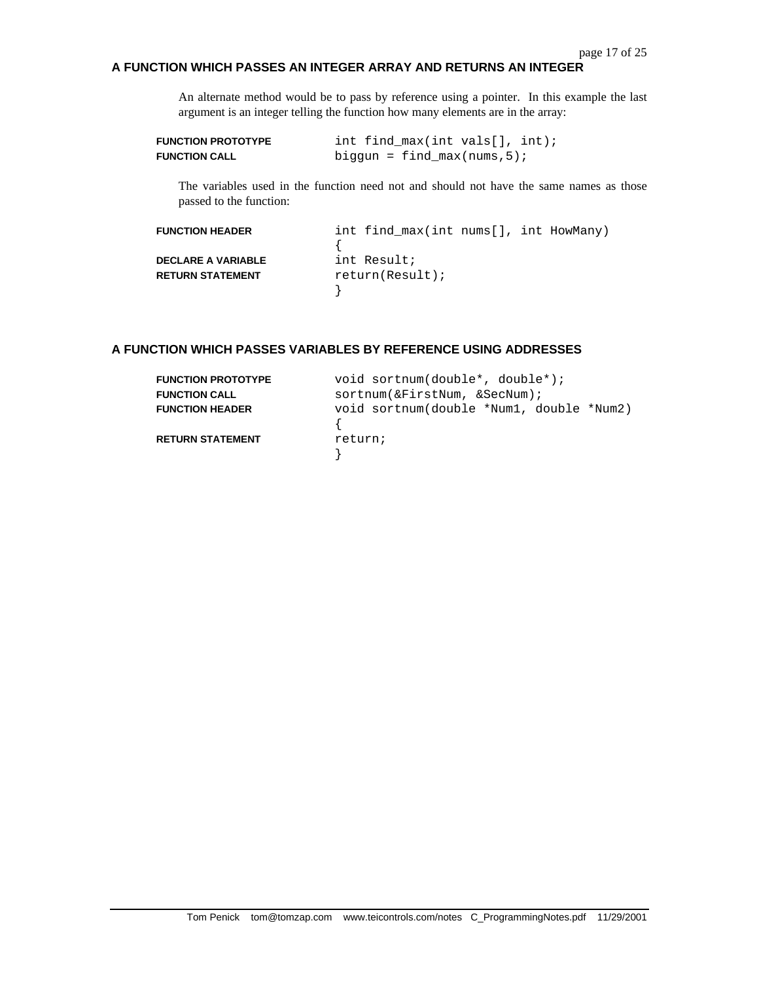#### **A FUNCTION WHICH PASSES AN INTEGER ARRAY AND RETURNS AN INTEGER**

An alternate method would be to pass by reference using a pointer. In this example the last argument is an integer telling the function how many elements are in the array:

| <b>FUNCTION PROTOTYPE</b> | int find $max(int vals[], int);$ |  |
|---------------------------|----------------------------------|--|
| <b>FUNCTION CALL</b>      | biggun = find $max(nums, 5)$ ;   |  |

The variables used in the function need not and should not have the same names as those passed to the function:

| <b>FUNCTION HEADER</b>    | int find $max(int nums[], int HowMany)$ |
|---------------------------|-----------------------------------------|
|                           |                                         |
| <b>DECLARE A VARIABLE</b> | int Result;                             |
| <b>RETURN STATEMENT</b>   | return(Result);                         |
|                           |                                         |

#### **A FUNCTION WHICH PASSES VARIABLES BY REFERENCE USING ADDRESSES**

| <b>FUNCTION PROTOTYPE</b> | void sortnum(double*, double*);          |
|---------------------------|------------------------------------------|
| <b>FUNCTION CALL</b>      | sortnum(&FirstNum, &SecNum);             |
| <b>FUNCTION HEADER</b>    | void sortnum(double *Num1, double *Num2) |
| <b>RETURN STATEMENT</b>   | return;                                  |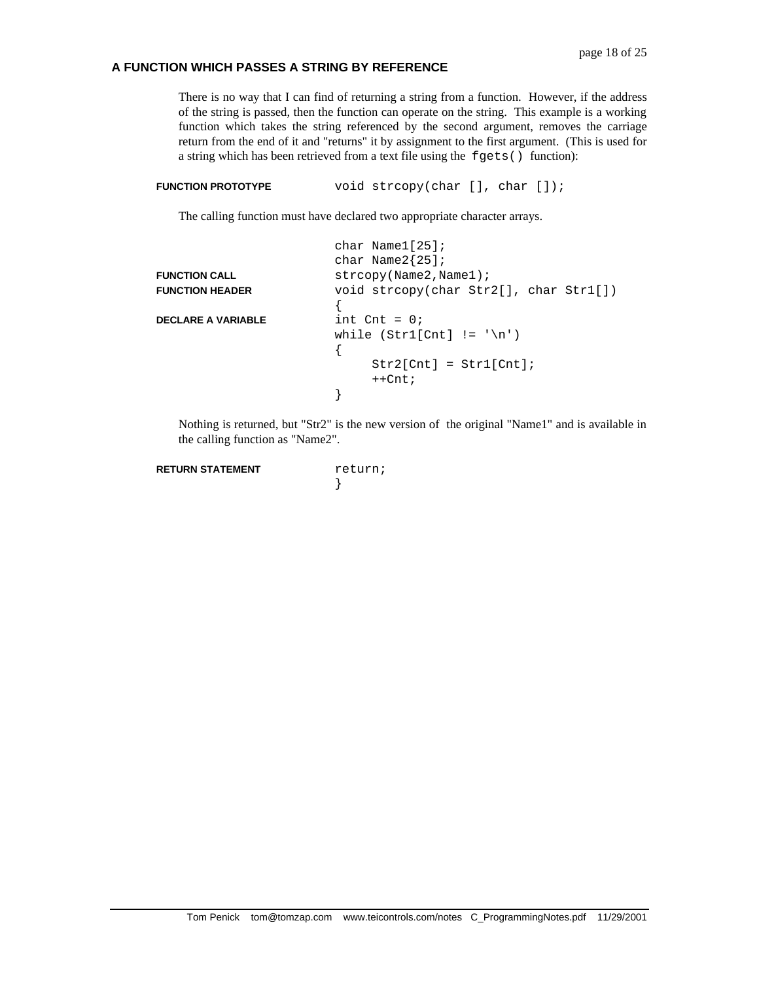#### **A FUNCTION WHICH PASSES A STRING BY REFERENCE**

There is no way that I can find of returning a string from a function. However, if the address of the string is passed, then the function can operate on the string. This example is a working function which takes the string referenced by the second argument, removes the carriage return from the end of it and "returns" it by assignment to the first argument. (This is used for a string which has been retrieved from a text file using the fgets() function):

```
FUNCTION PROTOTYPE void strcopy(char [], char []);
```
The calling function must have declared two appropriate character arrays.

```
char Name1[25];
                       char Name2{25];
FUNCTION CALL strcopy(Name2,Name1);
FUNCTION HEADER void strcopy(char Str2[], char Str1[])
                       {
DECLARE A VARIABLE int Cnt = 0;
                       while (Str1[Cnt] := \lceil \n\ln \rceil){
                            Str2[Cht] = Str1[Cht];++Cnt;}
```
Nothing is returned, but "Str2" is the new version of the original "Name1" and is available in the calling function as "Name2".

```
RETURN STATEMENT return;
                   }
```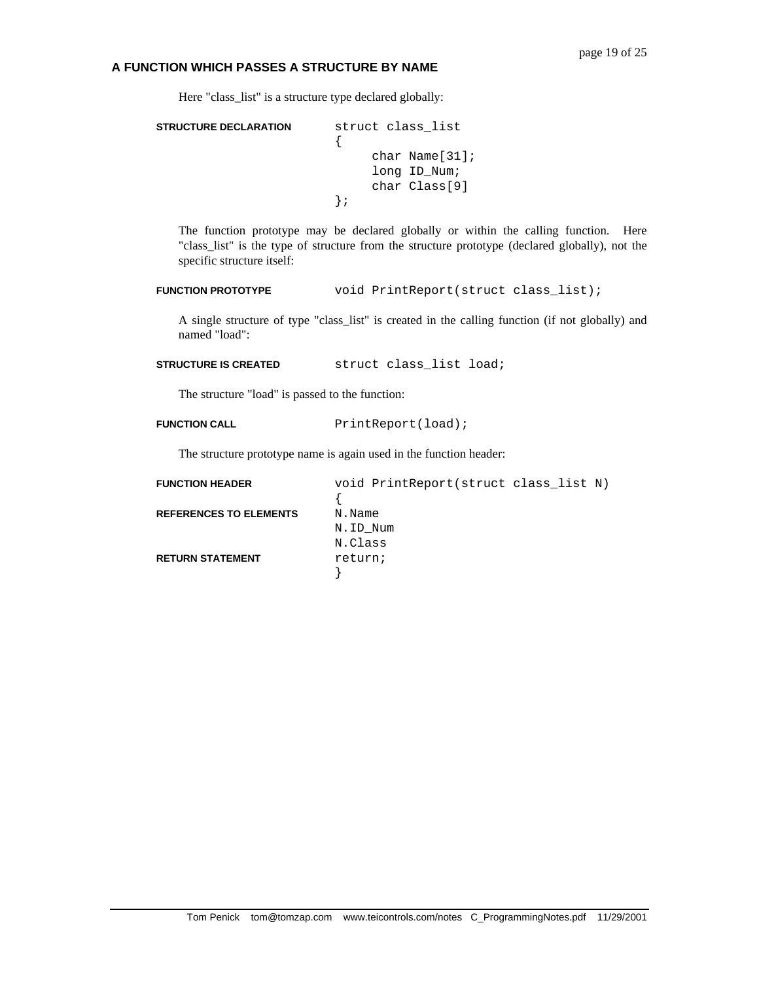#### **A FUNCTION WHICH PASSES A STRUCTURE BY NAME**

Here "class\_list" is a structure type declared globally:

```
STRUCTURE DECLARATION struct class_list
                         {
                               char Name[31];
                               long ID_Num;
                               char Class[9]
                         };
```
The function prototype may be declared globally or within the calling function. Here "class\_list" is the type of structure from the structure prototype (declared globally), not the specific structure itself:

```
FUNCTION PROTOTYPE void PrintReport(struct class_list);
```
A single structure of type "class\_list" is created in the calling function (if not globally) and named "load":

**STRUCTURE IS CREATED** struct class\_list load;

The structure "load" is passed to the function:

**FUNCTION CALL** PrintReport(load);

The structure prototype name is again used in the function header:

| <b>FUNCTION HEADER</b>        | void PrintReport(struct class list N) |  |
|-------------------------------|---------------------------------------|--|
|                               |                                       |  |
| <b>REFERENCES TO ELEMENTS</b> | N.Name                                |  |
|                               | N.ID Num                              |  |
|                               | N.Class                               |  |
| <b>RETURN STATEMENT</b>       | return;                               |  |
|                               |                                       |  |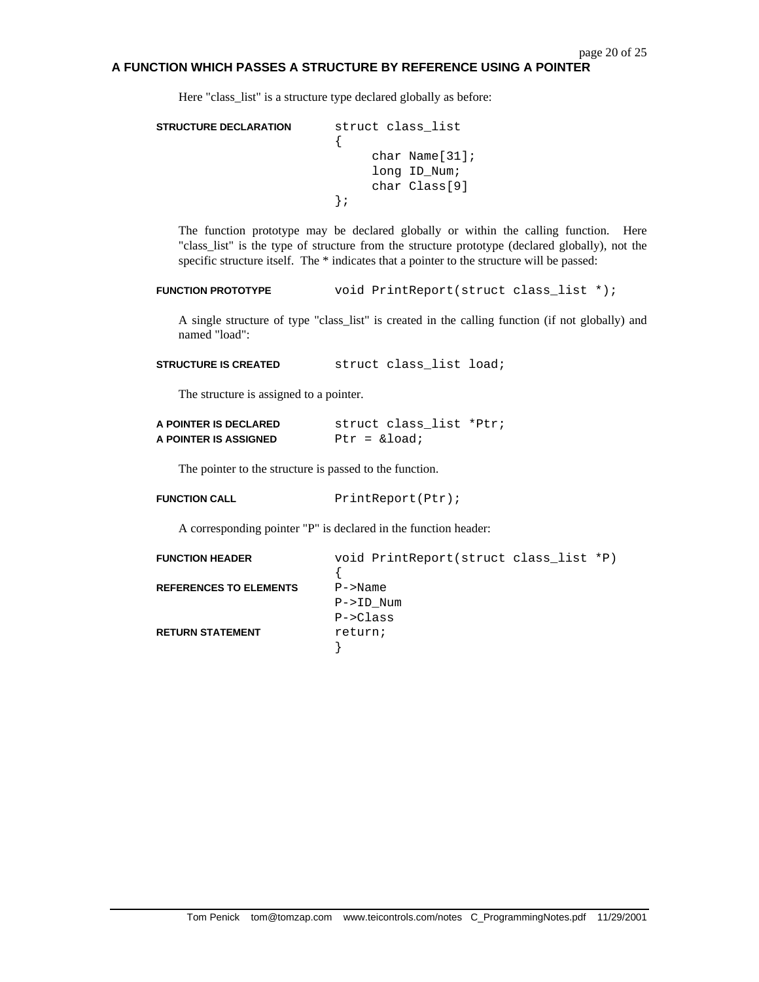#### **A FUNCTION WHICH PASSES A STRUCTURE BY REFERENCE USING A POINTER**

Here "class\_list" is a structure type declared globally as before:

```
STRUCTURE DECLARATION struct class_list
                         {
                                char Name[31];
                                long ID_Num;
                                char Class[9]
                         };
```
The function prototype may be declared globally or within the calling function. Here "class\_list" is the type of structure from the structure prototype (declared globally), not the specific structure itself. The  $*$  indicates that a pointer to the structure will be passed:

```
FUNCTION PROTOTYPE void PrintReport(struct class_list *);
```
A single structure of type "class\_list" is created in the calling function (if not globally) and named "load":

**STRUCTURE IS CREATED** struct class\_list load;

The structure is assigned to a pointer.

| A POINTER IS DECLARED | struct class list *Ptr; |
|-----------------------|-------------------------|
| A POINTER IS ASSIGNED | $Ptr = \&load$          |

The pointer to the structure is passed to the function.

**FUNCTION CALL** PrintReport(Ptr);

A corresponding pointer "P" is declared in the function header:

| <b>FUNCTION HEADER</b>        | void PrintReport(struct class list *P) |
|-------------------------------|----------------------------------------|
|                               |                                        |
| <b>REFERENCES TO ELEMENTS</b> | $P->Name$                              |
|                               | $P->ID$ Num                            |
|                               | $P->Class$                             |
| <b>RETURN STATEMENT</b>       | return;                                |
|                               |                                        |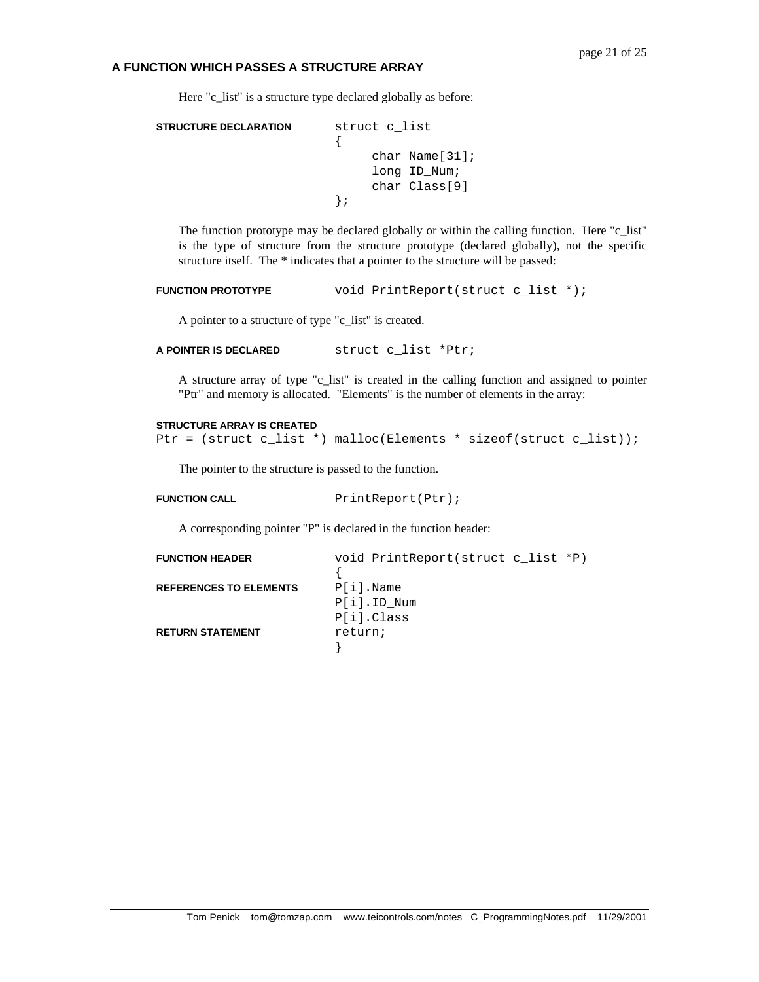#### **A FUNCTION WHICH PASSES A STRUCTURE ARRAY**

Here "c\_list" is a structure type declared globally as before:

```
STRUCTURE DECLARATION struct c_list
                         {
                                char Name[31];
                                long ID_Num;
                                char Class[9]
                         };
```
The function prototype may be declared globally or within the calling function. Here "c\_list" is the type of structure from the structure prototype (declared globally), not the specific structure itself. The \* indicates that a pointer to the structure will be passed:

```
FUNCTION PROTOTYPE void PrintReport(struct c_list *);
```
A pointer to a structure of type "c\_list" is created.

**A POINTER IS DECLARED** struct c\_list \*Ptr;

A structure array of type "c\_list" is created in the calling function and assigned to pointer "Ptr" and memory is allocated. "Elements" is the number of elements in the array:

#### **STRUCTURE ARRAY IS CREATED**

```
Ptr = (struct c_list *) malloc(Elements * sizeof(struct c_list));
```
The pointer to the structure is passed to the function.

| <b>FUNCTION CALL</b> | PrintReport(Ptr); |
|----------------------|-------------------|
|----------------------|-------------------|

A corresponding pointer "P" is declared in the function header:

| <b>FUNCTION HEADER</b>        | void PrintReport(struct c list *P) |
|-------------------------------|------------------------------------|
|                               |                                    |
| <b>REFERENCES TO ELEMENTS</b> | $P[i]$ . Name                      |
|                               | P[i].ID Num                        |
|                               | P[i].Class                         |
| <b>RETURN STATEMENT</b>       | return;                            |
|                               |                                    |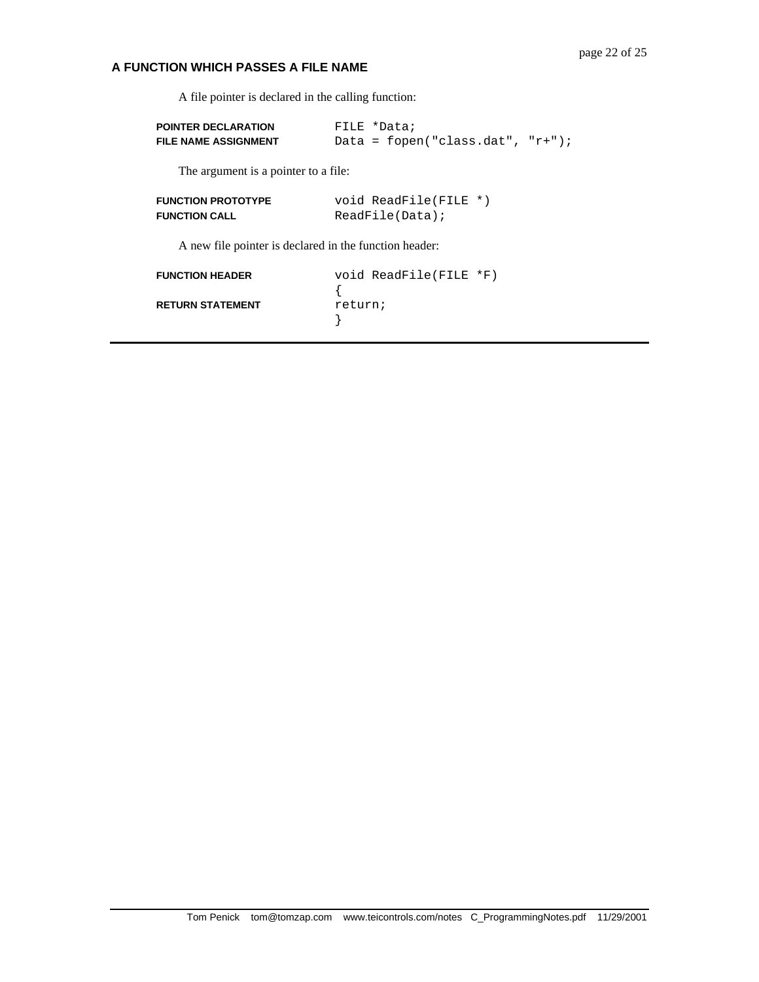#### **A FUNCTION WHICH PASSES A FILE NAME**

A file pointer is declared in the calling function:

| <b>POINTER DECLARATION</b>  | FILE *Data;                      |  |
|-----------------------------|----------------------------------|--|
| <b>FILE NAME ASSIGNMENT</b> | Data = fopen("class.dat", "r+"); |  |

The argument is a pointer to a file:

| <b>FUNCTION PROTOTYPE</b> | void ReadFile(FILE *) |  |
|---------------------------|-----------------------|--|
| <b>FUNCTION CALL</b>      | ReadFile(Data);       |  |

A new file pointer is declared in the function header:

| <b>FUNCTION HEADER</b>  | void ReadFile(FILE *F) |
|-------------------------|------------------------|
| <b>RETURN STATEMENT</b> | return;                |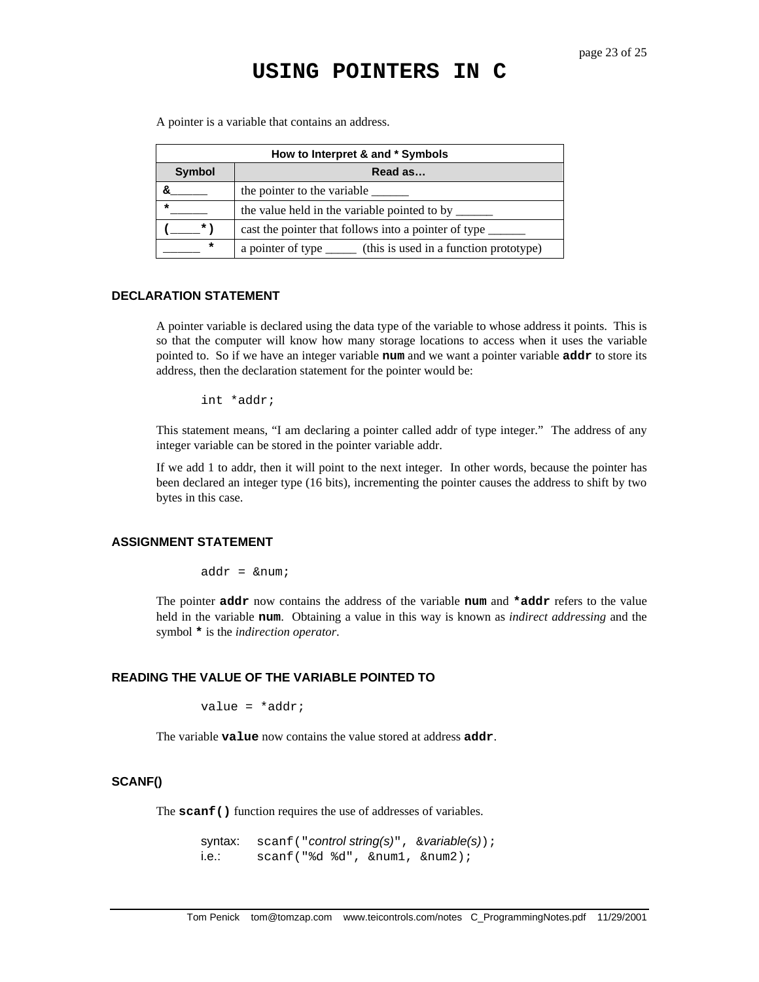## **USING POINTERS IN C**

A pointer is a variable that contains an address.

| How to Interpret & and * Symbols |                                                                   |  |
|----------------------------------|-------------------------------------------------------------------|--|
| <b>Symbol</b>                    | Read as                                                           |  |
| δr.                              | the pointer to the variable __                                    |  |
| $\star$                          | the value held in the variable pointed to by _____                |  |
| $\star$ )                        | cast the pointer that follows into a pointer of type              |  |
| $\star$                          | a pointer of type ________ (this is used in a function prototype) |  |

#### **DECLARATION STATEMENT**

A pointer variable is declared using the data type of the variable to whose address it points. This is so that the computer will know how many storage locations to access when it uses the variable pointed to. So if we have an integer variable **num** and we want a pointer variable **addr** to store its address, then the declaration statement for the pointer would be:

int \*addr;

This statement means, "I am declaring a pointer called addr of type integer." The address of any integer variable can be stored in the pointer variable addr.

If we add 1 to addr, then it will point to the next integer. In other words, because the pointer has been declared an integer type (16 bits), incrementing the pointer causes the address to shift by two bytes in this case.

#### **ASSIGNMENT STATEMENT**

 $addr =$   $knum;$ 

The pointer **addr** now contains the address of the variable **num** and **\*addr** refers to the value held in the variable **num**. Obtaining a value in this way is known as *indirect addressing* and the symbol **\*** is the *indirection operator*.

#### **READING THE VALUE OF THE VARIABLE POINTED TO**

value =  $*$ addr;

The variable **value** now contains the value stored at address **addr**.

#### **SCANF()**

The **scanf()** function requires the use of addresses of variables.

syntax: scanf("*control string(s)*", &*variable(s)*); i.e.: scanf("%d %d", &num1, &num2);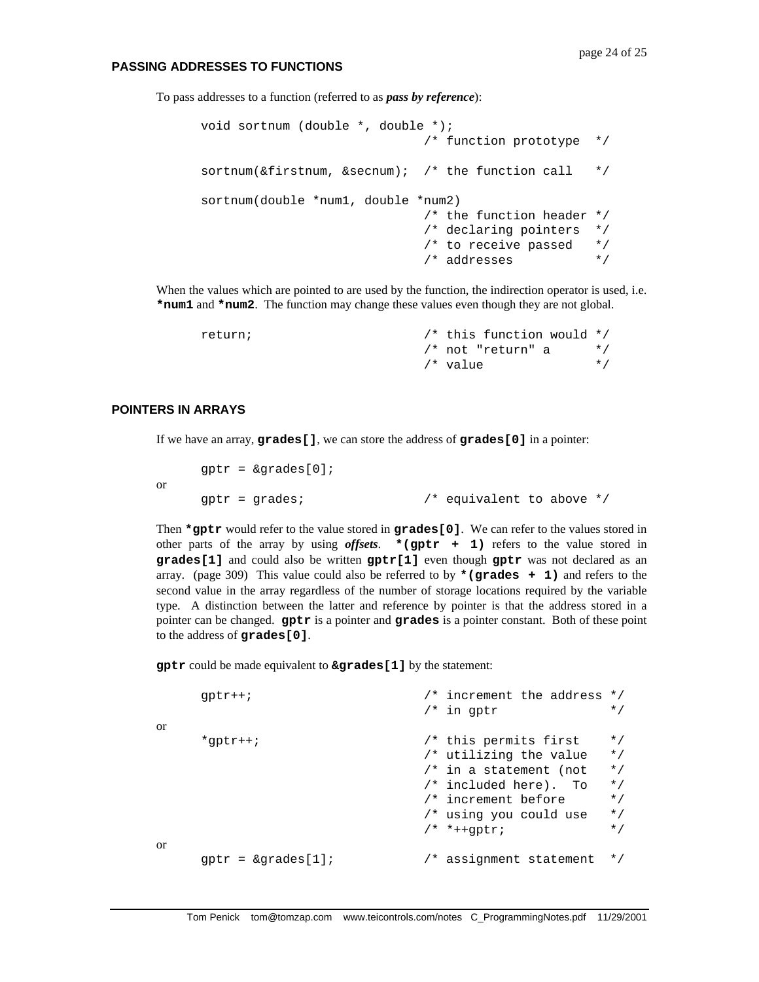#### **PASSING ADDRESSES TO FUNCTIONS**

To pass addresses to a function (referred to as *pass by reference*):

```
void sortnum (double *, double *);
                            /* function prototype */
sortnum(&firstnum, &secnum); /* the function call */
sortnum(double *num1, double *num2)
                            /* the function header */
                            /* declaring pointers */
                            /* to receive passed *//* addresses */
```
When the values which are pointed to are used by the function, the indirection operator is used, i.e. **\*num1** and **\*num2**. The function may change these values even though they are not global.

```
return; /* this function would */
                       /* not "return" a *\frac{1}{x} value \frac{x}{x}
```
#### **POINTERS IN ARRAYS**

If we have an array, **grades[]**, we can store the address of **grades[0]** in a pointer:

```
gptr = \&grades[0];or
    gptr = grades; /* equivalent to above */
```
Then **\*gptr** would refer to the value stored in **grades[0]**. We can refer to the values stored in other parts of the array by using *offsets*. **\***(gptr + 1) refers to the value stored in **grades[1]** and could also be written **gptr[1]** even though **gptr** was not declared as an array. (page 309) This value could also be referred to by  $*(grades + 1)$  and refers to the second value in the array regardless of the number of storage locations required by the variable type. A distinction between the latter and reference by pointer is that the address stored in a pointer can be changed. **gptr** is a pointer and **grades** is a pointer constant. Both of these point to the address of **grades[0]**.

**gptr** could be made equivalent to **&grades[1]** by the statement:

|          | $qptr++;$             | $/*$ increment the address $*/$   |           |
|----------|-----------------------|-----------------------------------|-----------|
|          |                       | $/*$ in qptr                      | $\star$ / |
| $\alpha$ |                       |                                   |           |
|          | $*$ qptr++;           | $/*$ this permits first           | $\star$ / |
|          |                       | /* utilizing the value            | $\star$ / |
|          |                       | $\prime\star$ in a statement (not | $\star$ / |
|          |                       | /* included here). To             | $\star$ / |
|          |                       | /* increment before               | $\star$ / |
|          |                       | /* using you could use            | $\star$ / |
|          |                       | $/*$ *++aptr;                     | $\star$ / |
| $\alpha$ |                       |                                   |           |
|          | $qptr = \&qrades[1];$ | /* assignment statement           | $\star$ / |

Tom Penick tom@tomzap.com www.teicontrols.com/notes C\_ProgrammingNotes.pdf 11/29/2001